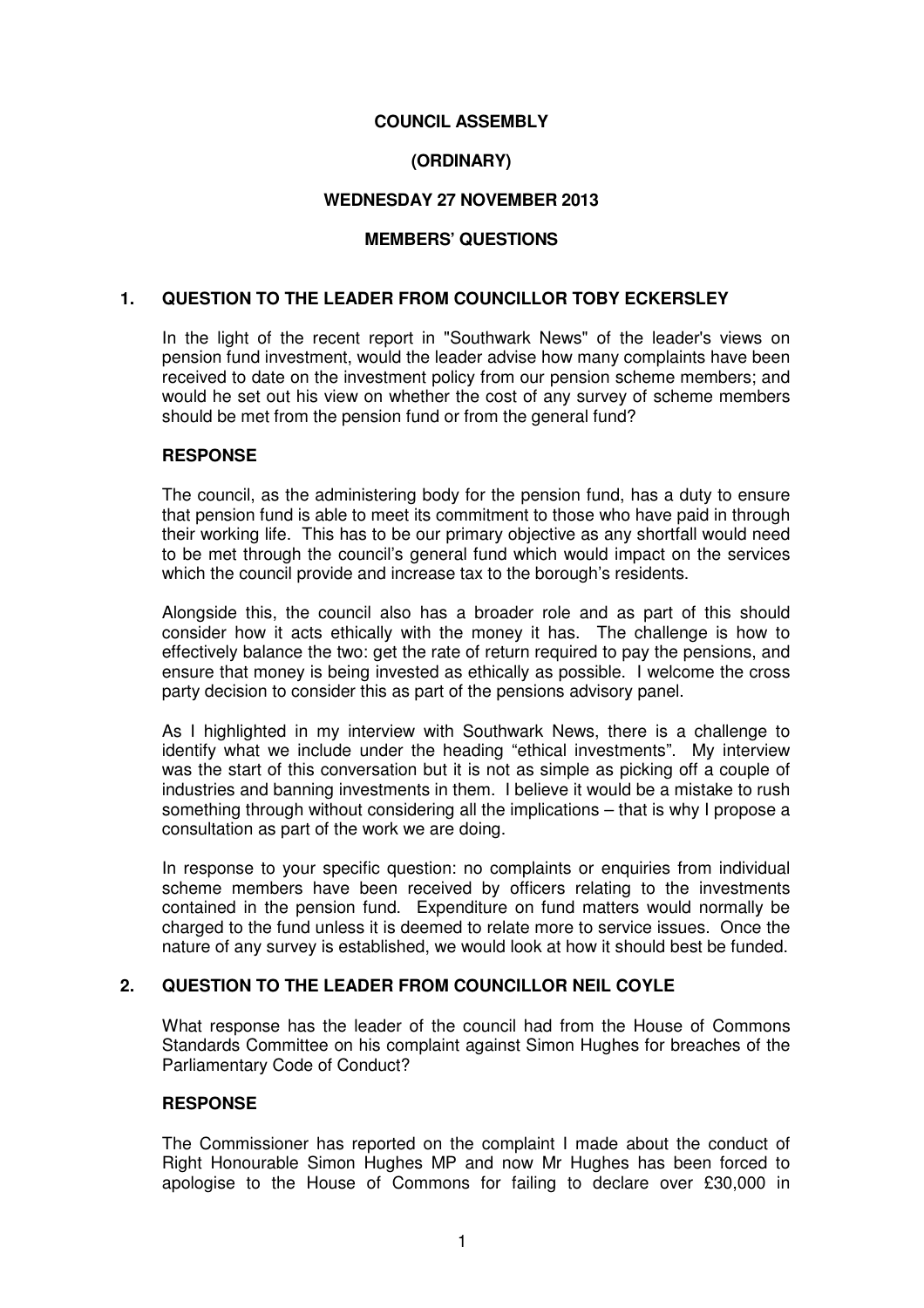# **COUNCIL ASSEMBLY**

# **(ORDINARY)**

### **WEDNESDAY 27 NOVEMBER 2013**

### **MEMBERS' QUESTIONS**

#### **1. QUESTION TO THE LEADER FROM COUNCILLOR TOBY ECKERSLEY**

In the light of the recent report in "Southwark News" of the leader's views on pension fund investment, would the leader advise how many complaints have been received to date on the investment policy from our pension scheme members; and would he set out his view on whether the cost of any survey of scheme members should be met from the pension fund or from the general fund?

#### **RESPONSE**

The council, as the administering body for the pension fund, has a duty to ensure that pension fund is able to meet its commitment to those who have paid in through their working life. This has to be our primary objective as any shortfall would need to be met through the council's general fund which would impact on the services which the council provide and increase tax to the borough's residents.

Alongside this, the council also has a broader role and as part of this should consider how it acts ethically with the money it has. The challenge is how to effectively balance the two: get the rate of return required to pay the pensions, and ensure that money is being invested as ethically as possible. I welcome the cross party decision to consider this as part of the pensions advisory panel.

As I highlighted in my interview with Southwark News, there is a challenge to identify what we include under the heading "ethical investments". My interview was the start of this conversation but it is not as simple as picking off a couple of industries and banning investments in them. I believe it would be a mistake to rush something through without considering all the implications – that is why I propose a consultation as part of the work we are doing.

In response to your specific question: no complaints or enquiries from individual scheme members have been received by officers relating to the investments contained in the pension fund. Expenditure on fund matters would normally be charged to the fund unless it is deemed to relate more to service issues. Once the nature of any survey is established, we would look at how it should best be funded.

### **2. QUESTION TO THE LEADER FROM COUNCILLOR NEIL COYLE**

What response has the leader of the council had from the House of Commons Standards Committee on his complaint against Simon Hughes for breaches of the Parliamentary Code of Conduct?

#### **RESPONSE**

The Commissioner has reported on the complaint I made about the conduct of Right Honourable Simon Hughes MP and now Mr Hughes has been forced to apologise to the House of Commons for failing to declare over £30,000 in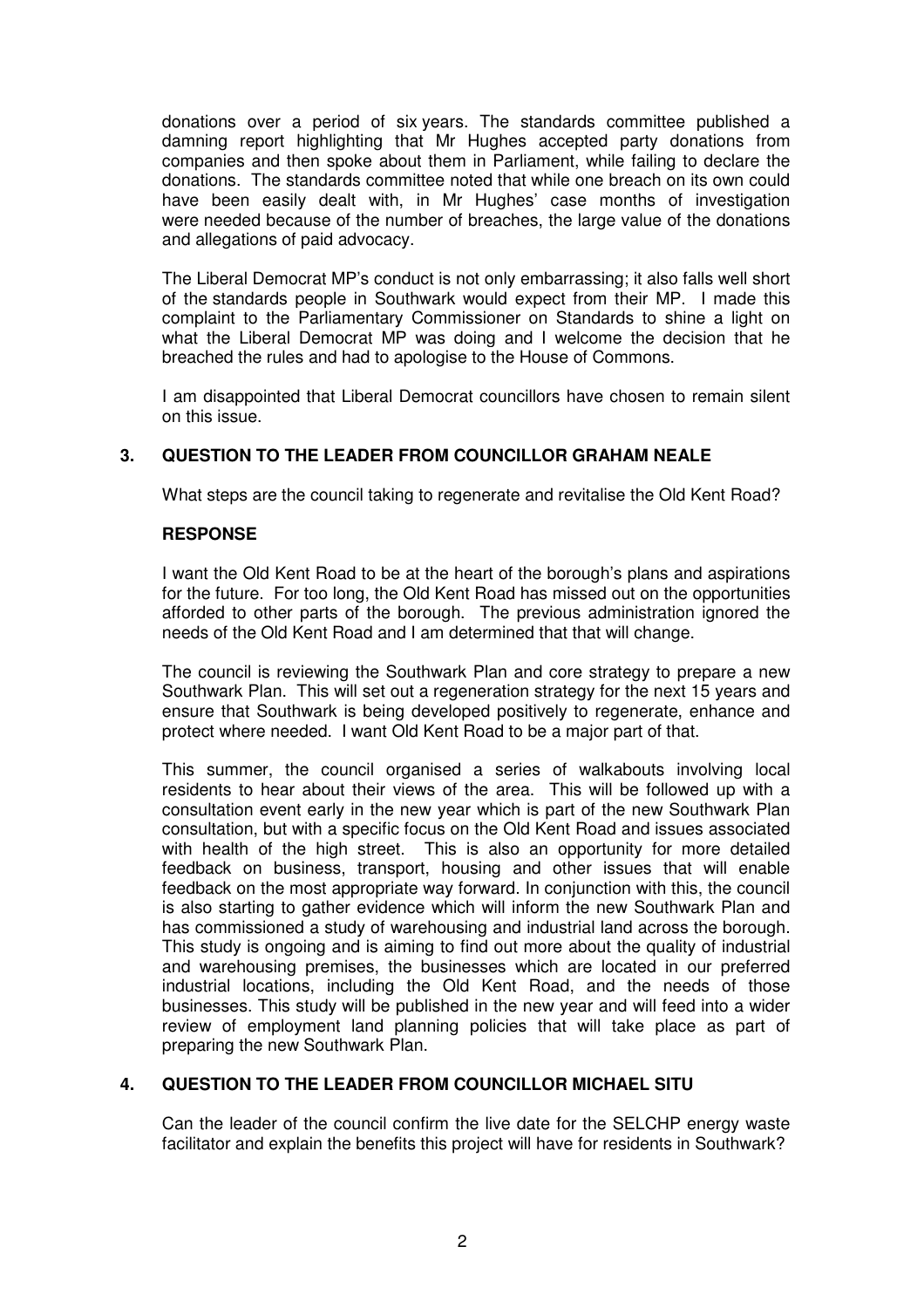donations over a period of six years. The standards committee published a damning report highlighting that Mr Hughes accepted party donations from companies and then spoke about them in Parliament, while failing to declare the donations. The standards committee noted that while one breach on its own could have been easily dealt with, in Mr Hughes' case months of investigation were needed because of the number of breaches, the large value of the donations and allegations of paid advocacy.

The Liberal Democrat MP's conduct is not only embarrassing; it also falls well short of the standards people in Southwark would expect from their MP. I made this complaint to the Parliamentary Commissioner on Standards to shine a light on what the Liberal Democrat MP was doing and I welcome the decision that he breached the rules and had to apologise to the House of Commons.

I am disappointed that Liberal Democrat councillors have chosen to remain silent on this issue.

# **3. QUESTION TO THE LEADER FROM COUNCILLOR GRAHAM NEALE**

What steps are the council taking to regenerate and revitalise the Old Kent Road?

# **RESPONSE**

I want the Old Kent Road to be at the heart of the borough's plans and aspirations for the future. For too long, the Old Kent Road has missed out on the opportunities afforded to other parts of the borough. The previous administration ignored the needs of the Old Kent Road and I am determined that that will change.

The council is reviewing the Southwark Plan and core strategy to prepare a new Southwark Plan. This will set out a regeneration strategy for the next 15 years and ensure that Southwark is being developed positively to regenerate, enhance and protect where needed. I want Old Kent Road to be a major part of that.

This summer, the council organised a series of walkabouts involving local residents to hear about their views of the area. This will be followed up with a consultation event early in the new year which is part of the new Southwark Plan consultation, but with a specific focus on the Old Kent Road and issues associated with health of the high street. This is also an opportunity for more detailed feedback on business, transport, housing and other issues that will enable feedback on the most appropriate way forward. In conjunction with this, the council is also starting to gather evidence which will inform the new Southwark Plan and has commissioned a study of warehousing and industrial land across the borough. This study is ongoing and is aiming to find out more about the quality of industrial and warehousing premises, the businesses which are located in our preferred industrial locations, including the Old Kent Road, and the needs of those businesses. This study will be published in the new year and will feed into a wider review of employment land planning policies that will take place as part of preparing the new Southwark Plan.

### **4. QUESTION TO THE LEADER FROM COUNCILLOR MICHAEL SITU**

Can the leader of the council confirm the live date for the SELCHP energy waste facilitator and explain the benefits this project will have for residents in Southwark?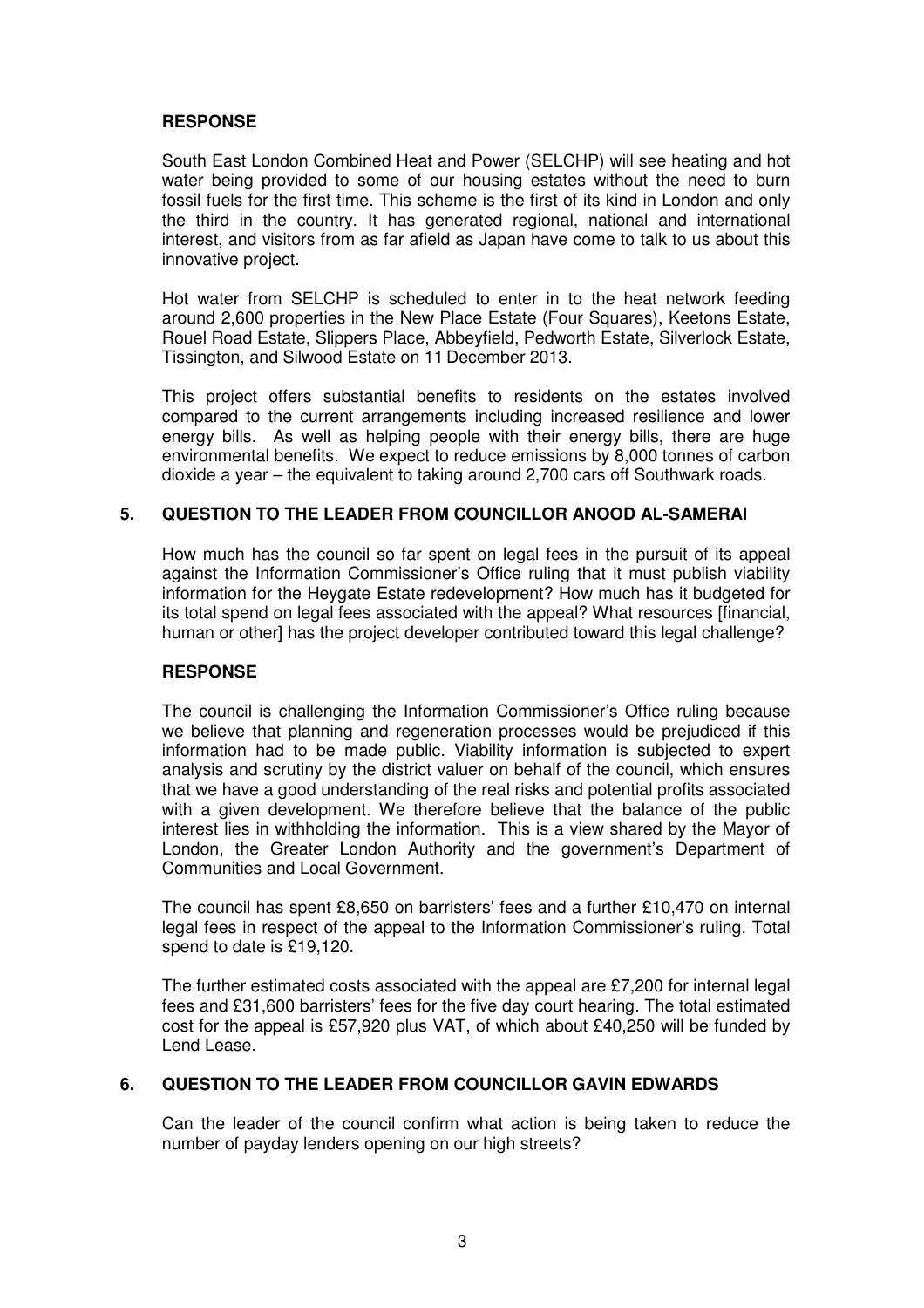### **RESPONSE**

South East London Combined Heat and Power (SELCHP) will see heating and hot water being provided to some of our housing estates without the need to burn fossil fuels for the first time. This scheme is the first of its kind in London and only the third in the country. It has generated regional, national and international interest, and visitors from as far afield as Japan have come to talk to us about this innovative project.

Hot water from SELCHP is scheduled to enter in to the heat network feeding around 2,600 properties in the New Place Estate (Four Squares), Keetons Estate, Rouel Road Estate, Slippers Place, Abbeyfield, Pedworth Estate, Silverlock Estate, Tissington, and Silwood Estate on 11 December 2013.

This project offers substantial benefits to residents on the estates involved compared to the current arrangements including increased resilience and lower energy bills. As well as helping people with their energy bills, there are huge environmental benefits. We expect to reduce emissions by 8,000 tonnes of carbon dioxide a year – the equivalent to taking around 2,700 cars off Southwark roads.

# **5. QUESTION TO THE LEADER FROM COUNCILLOR ANOOD AL-SAMERAI**

How much has the council so far spent on legal fees in the pursuit of its appeal against the Information Commissioner's Office ruling that it must publish viability information for the Heygate Estate redevelopment? How much has it budgeted for its total spend on legal fees associated with the appeal? What resources [financial, human or other] has the project developer contributed toward this legal challenge?

### **RESPONSE**

The council is challenging the Information Commissioner's Office ruling because we believe that planning and regeneration processes would be prejudiced if this information had to be made public. Viability information is subjected to expert analysis and scrutiny by the district valuer on behalf of the council, which ensures that we have a good understanding of the real risks and potential profits associated with a given development. We therefore believe that the balance of the public interest lies in withholding the information. This is a view shared by the Mayor of London, the Greater London Authority and the government's Department of Communities and Local Government.

The council has spent £8,650 on barristers' fees and a further £10,470 on internal legal fees in respect of the appeal to the Information Commissioner's ruling. Total spend to date is £19,120.

The further estimated costs associated with the appeal are £7,200 for internal legal fees and £31,600 barristers' fees for the five day court hearing. The total estimated cost for the appeal is £57,920 plus VAT, of which about £40,250 will be funded by Lend Lease.

### **6. QUESTION TO THE LEADER FROM COUNCILLOR GAVIN EDWARDS**

Can the leader of the council confirm what action is being taken to reduce the number of payday lenders opening on our high streets?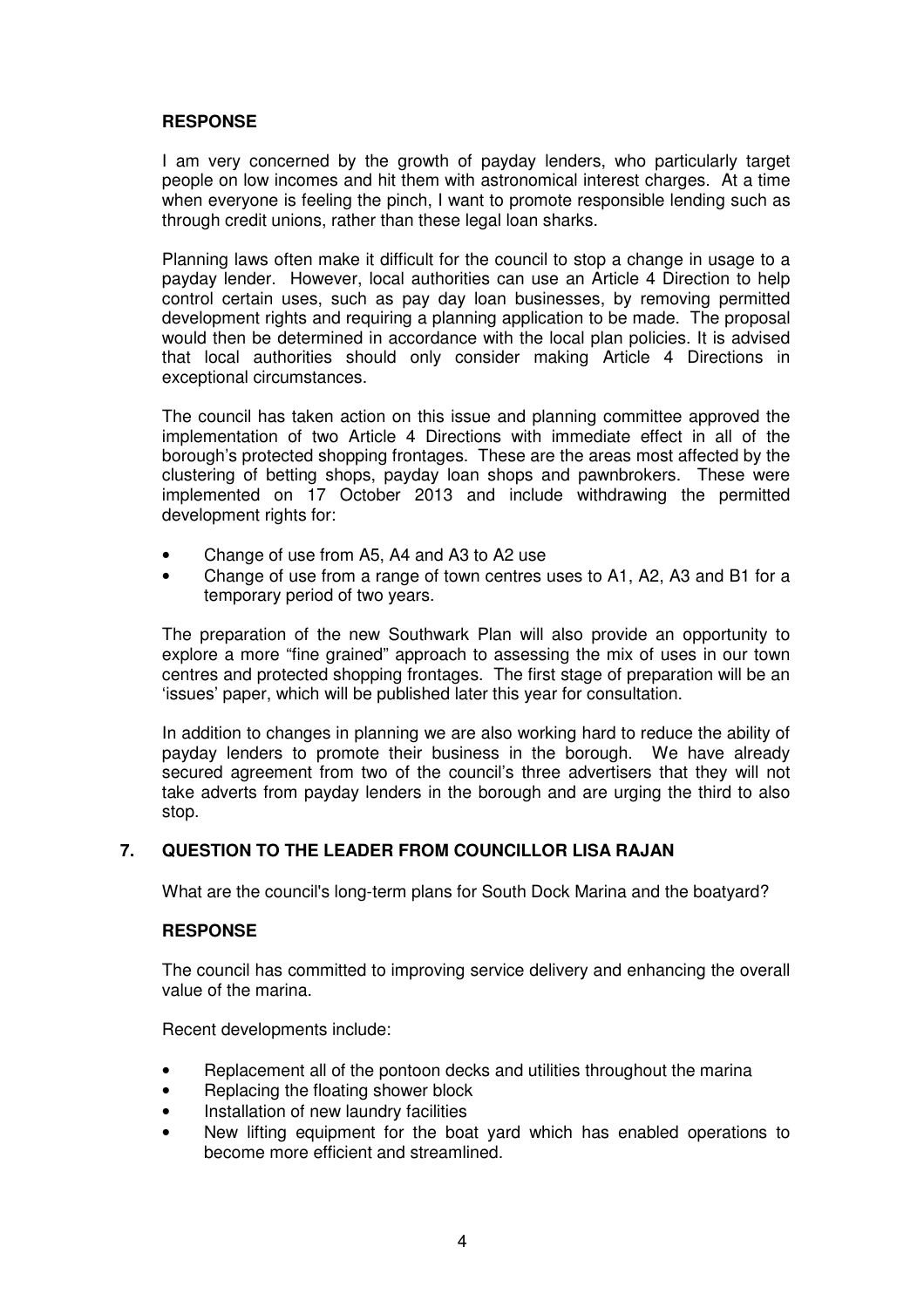# **RESPONSE**

I am very concerned by the growth of payday lenders, who particularly target people on low incomes and hit them with astronomical interest charges. At a time when everyone is feeling the pinch, I want to promote responsible lending such as through credit unions, rather than these legal loan sharks.

Planning laws often make it difficult for the council to stop a change in usage to a payday lender. However, local authorities can use an Article 4 Direction to help control certain uses, such as pay day loan businesses, by removing permitted development rights and requiring a planning application to be made. The proposal would then be determined in accordance with the local plan policies. It is advised that local authorities should only consider making Article 4 Directions in exceptional circumstances.

The council has taken action on this issue and planning committee approved the implementation of two Article 4 Directions with immediate effect in all of the borough's protected shopping frontages. These are the areas most affected by the clustering of betting shops, payday loan shops and pawnbrokers. These were implemented on 17 October 2013 and include withdrawing the permitted development rights for:

- Change of use from A5, A4 and A3 to A2 use
- Change of use from a range of town centres uses to A1, A2, A3 and B1 for a temporary period of two years.

The preparation of the new Southwark Plan will also provide an opportunity to explore a more "fine grained" approach to assessing the mix of uses in our town centres and protected shopping frontages. The first stage of preparation will be an 'issues' paper, which will be published later this year for consultation.

In addition to changes in planning we are also working hard to reduce the ability of payday lenders to promote their business in the borough. We have already secured agreement from two of the council's three advertisers that they will not take adverts from payday lenders in the borough and are urging the third to also stop.

### **7. QUESTION TO THE LEADER FROM COUNCILLOR LISA RAJAN**

What are the council's long-term plans for South Dock Marina and the boatyard?

### **RESPONSE**

The council has committed to improving service delivery and enhancing the overall value of the marina.

Recent developments include:

- Replacement all of the pontoon decks and utilities throughout the marina
- Replacing the floating shower block
- Installation of new laundry facilities
- New lifting equipment for the boat vard which has enabled operations to become more efficient and streamlined.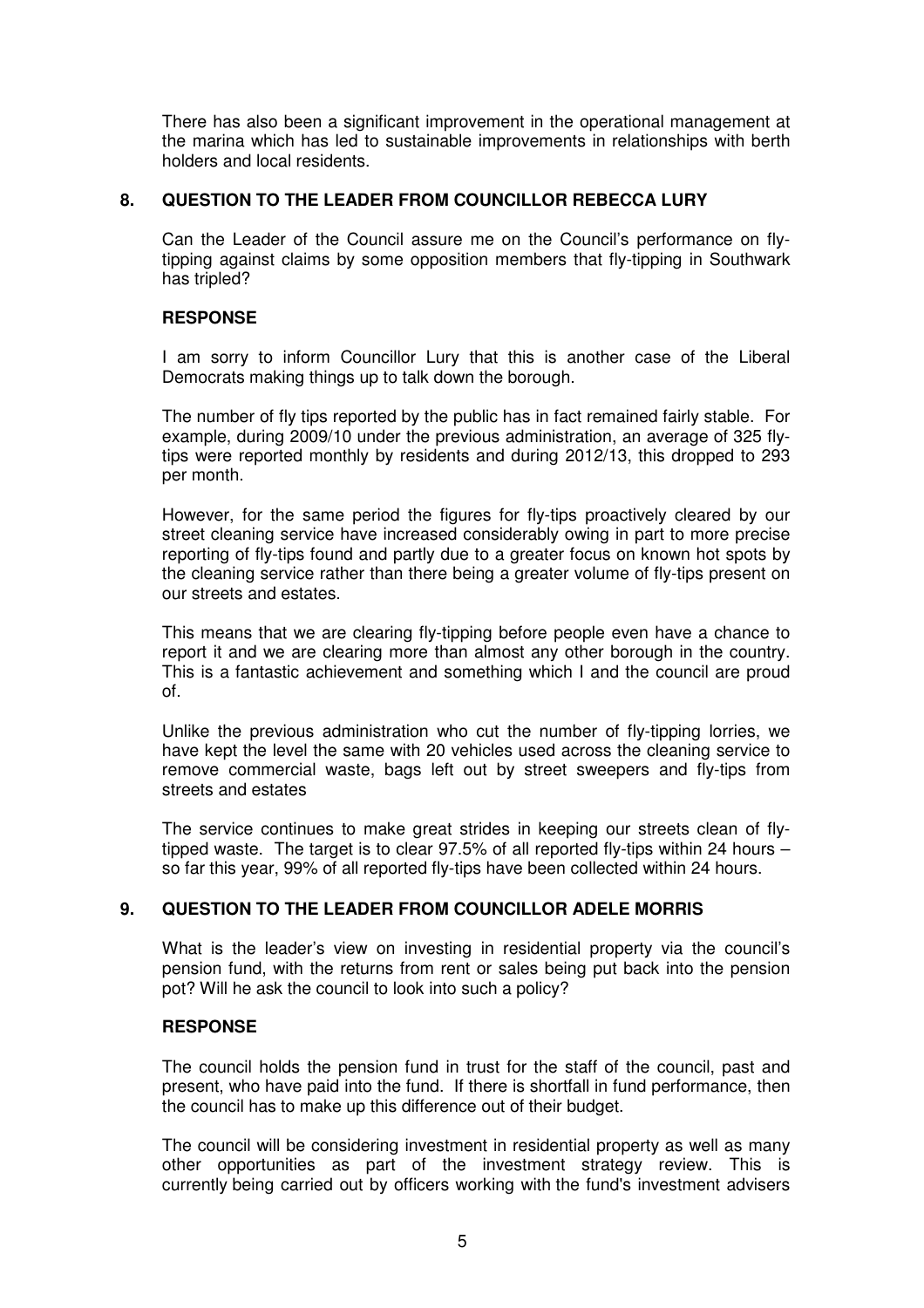There has also been a significant improvement in the operational management at the marina which has led to sustainable improvements in relationships with berth holders and local residents.

### **8. QUESTION TO THE LEADER FROM COUNCILLOR REBECCA LURY**

Can the Leader of the Council assure me on the Council's performance on flytipping against claims by some opposition members that fly-tipping in Southwark has tripled?

### **RESPONSE**

I am sorry to inform Councillor Lury that this is another case of the Liberal Democrats making things up to talk down the borough.

The number of fly tips reported by the public has in fact remained fairly stable. For example, during 2009/10 under the previous administration, an average of 325 flytips were reported monthly by residents and during 2012/13, this dropped to 293 per month.

However, for the same period the figures for fly-tips proactively cleared by our street cleaning service have increased considerably owing in part to more precise reporting of fly-tips found and partly due to a greater focus on known hot spots by the cleaning service rather than there being a greater volume of fly-tips present on our streets and estates.

This means that we are clearing fly-tipping before people even have a chance to report it and we are clearing more than almost any other borough in the country. This is a fantastic achievement and something which I and the council are proud of.

Unlike the previous administration who cut the number of fly-tipping lorries, we have kept the level the same with 20 vehicles used across the cleaning service to remove commercial waste, bags left out by street sweepers and fly-tips from streets and estates

The service continues to make great strides in keeping our streets clean of flytipped waste. The target is to clear 97.5% of all reported fly-tips within 24 hours – so far this year, 99% of all reported fly-tips have been collected within 24 hours.

### **9. QUESTION TO THE LEADER FROM COUNCILLOR ADELE MORRIS**

What is the leader's view on investing in residential property via the council's pension fund, with the returns from rent or sales being put back into the pension pot? Will he ask the council to look into such a policy?

### **RESPONSE**

The council holds the pension fund in trust for the staff of the council, past and present, who have paid into the fund. If there is shortfall in fund performance, then the council has to make up this difference out of their budget.

The council will be considering investment in residential property as well as many other opportunities as part of the investment strategy review. This is currently being carried out by officers working with the fund's investment advisers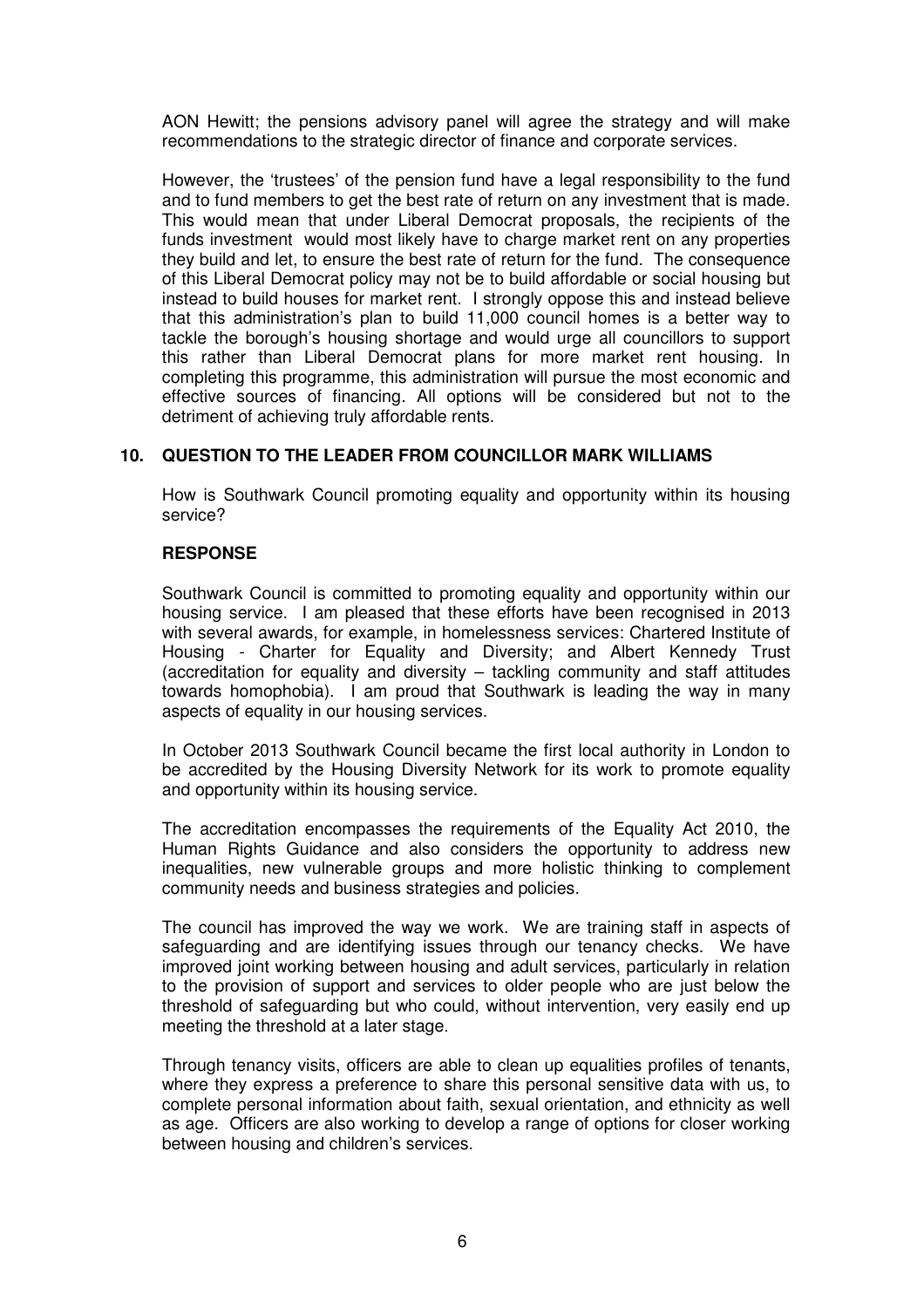AON Hewitt; the pensions advisory panel will agree the strategy and will make recommendations to the strategic director of finance and corporate services.

However, the 'trustees' of the pension fund have a legal responsibility to the fund and to fund members to get the best rate of return on any investment that is made. This would mean that under Liberal Democrat proposals, the recipients of the funds investment would most likely have to charge market rent on any properties they build and let, to ensure the best rate of return for the fund. The consequence of this Liberal Democrat policy may not be to build affordable or social housing but instead to build houses for market rent. I strongly oppose this and instead believe that this administration's plan to build 11,000 council homes is a better way to tackle the borough's housing shortage and would urge all councillors to support this rather than Liberal Democrat plans for more market rent housing. In completing this programme, this administration will pursue the most economic and effective sources of financing. All options will be considered but not to the detriment of achieving truly affordable rents.

# **10. QUESTION TO THE LEADER FROM COUNCILLOR MARK WILLIAMS**

How is Southwark Council promoting equality and opportunity within its housing service?

### **RESPONSE**

Southwark Council is committed to promoting equality and opportunity within our housing service. I am pleased that these efforts have been recognised in 2013 with several awards, for example, in homelessness services: Chartered Institute of Housing - Charter for Equality and Diversity; and Albert Kennedy Trust (accreditation for equality and diversity – tackling community and staff attitudes towards homophobia). I am proud that Southwark is leading the way in many aspects of equality in our housing services.

In October 2013 Southwark Council became the first local authority in London to be accredited by the Housing Diversity Network for its work to promote equality and opportunity within its housing service.

The accreditation encompasses the requirements of the Equality Act 2010, the Human Rights Guidance and also considers the opportunity to address new inequalities, new vulnerable groups and more holistic thinking to complement community needs and business strategies and policies.

The council has improved the way we work. We are training staff in aspects of safeguarding and are identifying issues through our tenancy checks. We have improved joint working between housing and adult services, particularly in relation to the provision of support and services to older people who are just below the threshold of safeguarding but who could, without intervention, very easily end up meeting the threshold at a later stage.

Through tenancy visits, officers are able to clean up equalities profiles of tenants, where they express a preference to share this personal sensitive data with us, to complete personal information about faith, sexual orientation, and ethnicity as well as age. Officers are also working to develop a range of options for closer working between housing and children's services.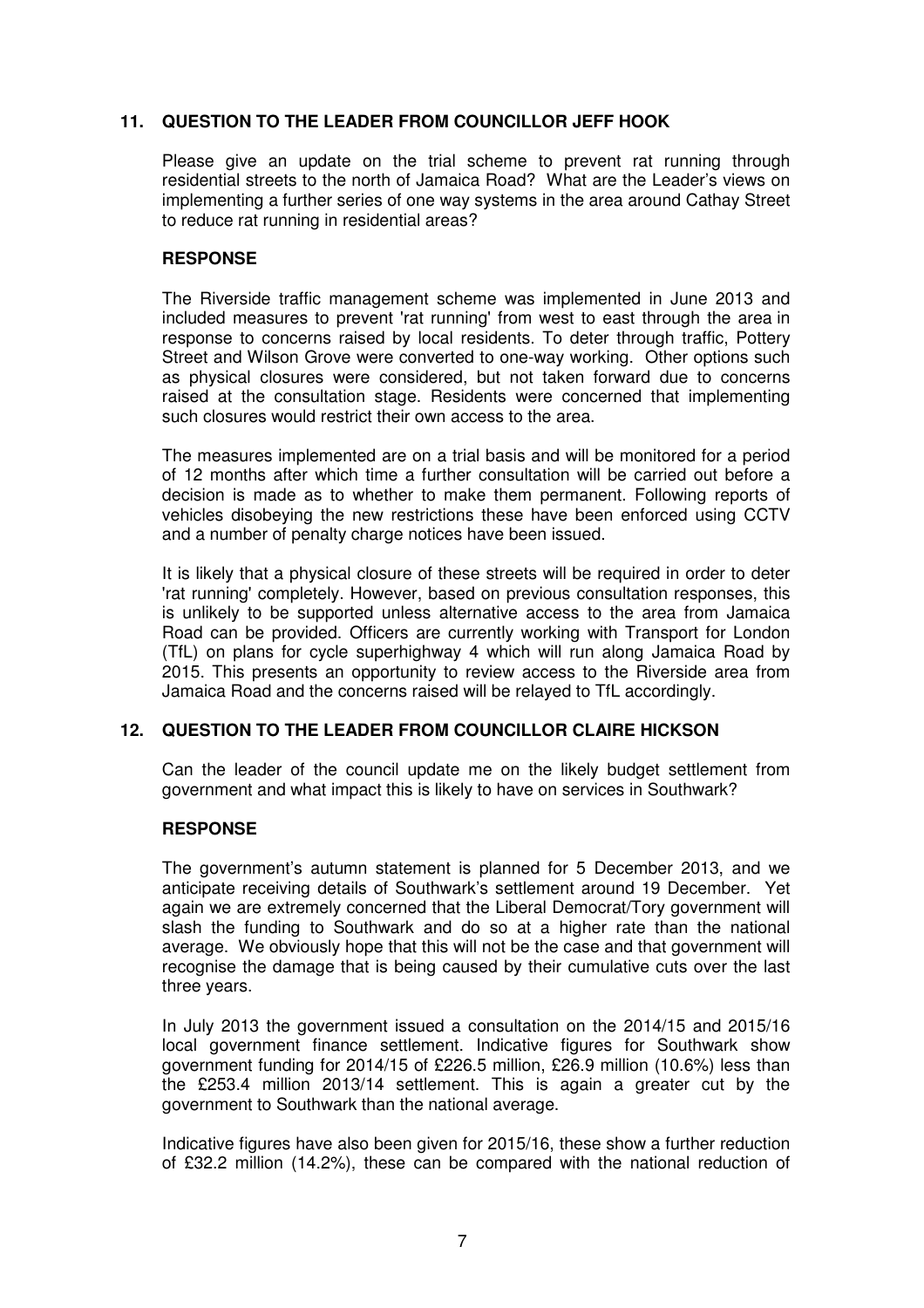# **11. QUESTION TO THE LEADER FROM COUNCILLOR JEFF HOOK**

Please give an update on the trial scheme to prevent rat running through residential streets to the north of Jamaica Road? What are the Leader's views on implementing a further series of one way systems in the area around Cathay Street to reduce rat running in residential areas?

# **RESPONSE**

The Riverside traffic management scheme was implemented in June 2013 and included measures to prevent 'rat running' from west to east through the area in response to concerns raised by local residents. To deter through traffic, Pottery Street and Wilson Grove were converted to one-way working. Other options such as physical closures were considered, but not taken forward due to concerns raised at the consultation stage. Residents were concerned that implementing such closures would restrict their own access to the area.

The measures implemented are on a trial basis and will be monitored for a period of 12 months after which time a further consultation will be carried out before a decision is made as to whether to make them permanent. Following reports of vehicles disobeying the new restrictions these have been enforced using CCTV and a number of penalty charge notices have been issued.

It is likely that a physical closure of these streets will be required in order to deter 'rat running' completely. However, based on previous consultation responses, this is unlikely to be supported unless alternative access to the area from Jamaica Road can be provided. Officers are currently working with Transport for London (TfL) on plans for cycle superhighway 4 which will run along Jamaica Road by 2015. This presents an opportunity to review access to the Riverside area from Jamaica Road and the concerns raised will be relayed to TfL accordingly.

# **12. QUESTION TO THE LEADER FROM COUNCILLOR CLAIRE HICKSON**

Can the leader of the council update me on the likely budget settlement from government and what impact this is likely to have on services in Southwark?

### **RESPONSE**

The government's autumn statement is planned for 5 December 2013, and we anticipate receiving details of Southwark's settlement around 19 December. Yet again we are extremely concerned that the Liberal Democrat/Tory government will slash the funding to Southwark and do so at a higher rate than the national average. We obviously hope that this will not be the case and that government will recognise the damage that is being caused by their cumulative cuts over the last three years.

In July 2013 the government issued a consultation on the 2014/15 and 2015/16 local government finance settlement. Indicative figures for Southwark show government funding for 2014/15 of £226.5 million, £26.9 million (10.6%) less than the £253.4 million 2013/14 settlement. This is again a greater cut by the government to Southwark than the national average.

Indicative figures have also been given for 2015/16, these show a further reduction of £32.2 million (14.2%), these can be compared with the national reduction of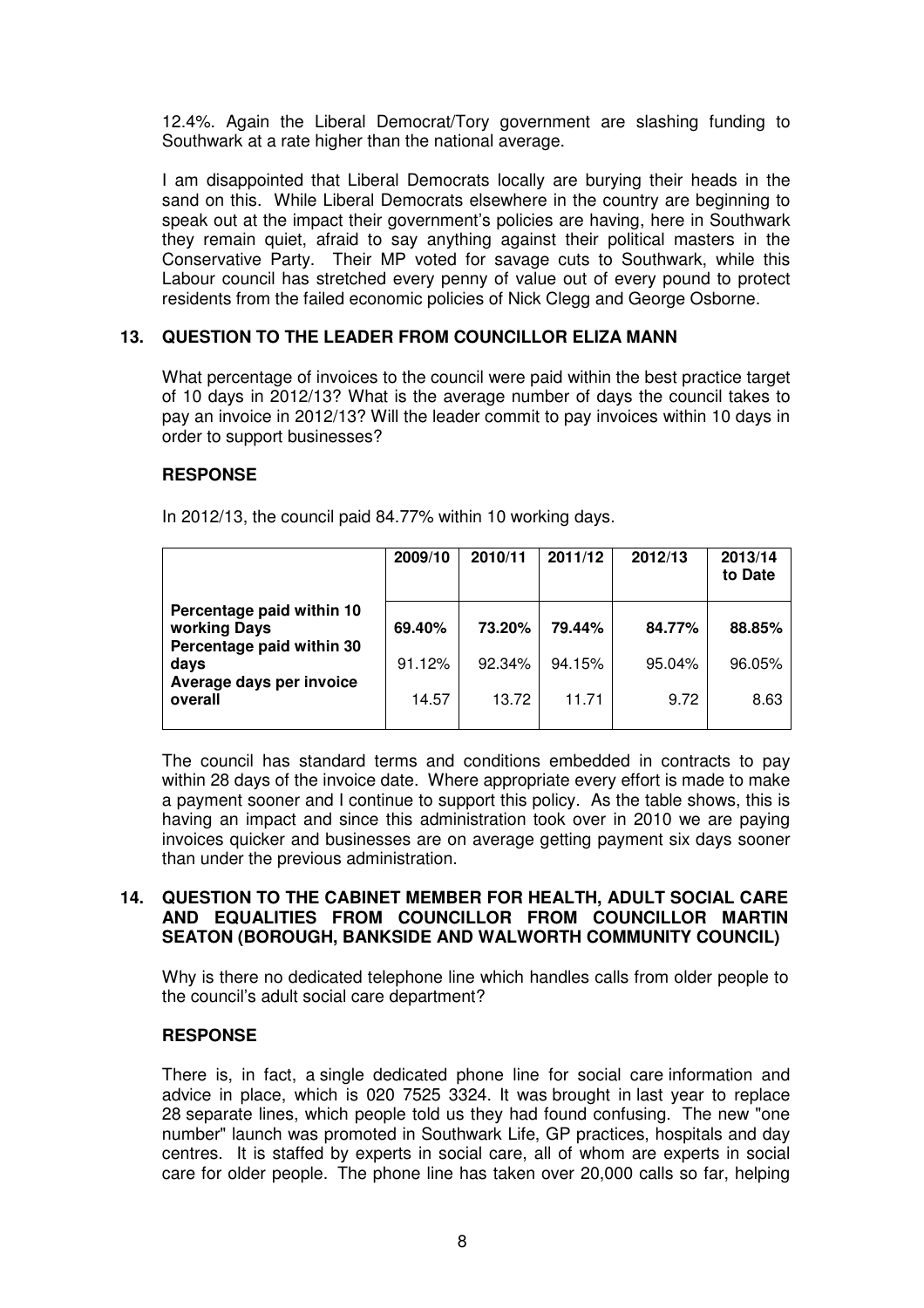12.4%. Again the Liberal Democrat/Tory government are slashing funding to Southwark at a rate higher than the national average.

I am disappointed that Liberal Democrats locally are burying their heads in the sand on this. While Liberal Democrats elsewhere in the country are beginning to speak out at the impact their government's policies are having, here in Southwark they remain quiet, afraid to say anything against their political masters in the Conservative Party. Their MP voted for savage cuts to Southwark, while this Labour council has stretched every penny of value out of every pound to protect residents from the failed economic policies of Nick Clegg and George Osborne.

# **13. QUESTION TO THE LEADER FROM COUNCILLOR ELIZA MANN**

What percentage of invoices to the council were paid within the best practice target of 10 days in 2012/13? What is the average number of days the council takes to pay an invoice in 2012/13? Will the leader commit to pay invoices within 10 days in order to support businesses?

### **RESPONSE**

|                                                                        | 2009/10 | 2010/11 | 2011/12 | 2012/13 | 2013/14<br>to Date |
|------------------------------------------------------------------------|---------|---------|---------|---------|--------------------|
| Percentage paid within 10<br>working Days<br>Percentage paid within 30 | 69.40%  | 73.20%  | 79.44%  | 84.77%  | 88.85%             |
| days<br>Average days per invoice                                       | 91.12%  | 92.34%  | 94.15%  | 95.04%  | 96.05%             |
| overall                                                                | 14.57   | 13.72   | 11.71   | 9.72    | 8.63               |

In 2012/13, the council paid 84.77% within 10 working days.

The council has standard terms and conditions embedded in contracts to pay within 28 days of the invoice date. Where appropriate every effort is made to make a payment sooner and I continue to support this policy. As the table shows, this is having an impact and since this administration took over in 2010 we are paying invoices quicker and businesses are on average getting payment six days sooner than under the previous administration.

### **14. QUESTION TO THE CABINET MEMBER FOR HEALTH, ADULT SOCIAL CARE AND EQUALITIES FROM COUNCILLOR FROM COUNCILLOR MARTIN SEATON (BOROUGH, BANKSIDE AND WALWORTH COMMUNITY COUNCIL)**

Why is there no dedicated telephone line which handles calls from older people to the council's adult social care department?

### **RESPONSE**

There is, in fact, a single dedicated phone line for social care information and advice in place, which is 020 7525 3324. It was brought in last year to replace 28 separate lines, which people told us they had found confusing. The new "one number" launch was promoted in Southwark Life, GP practices, hospitals and day centres. It is staffed by experts in social care, all of whom are experts in social care for older people. The phone line has taken over 20,000 calls so far, helping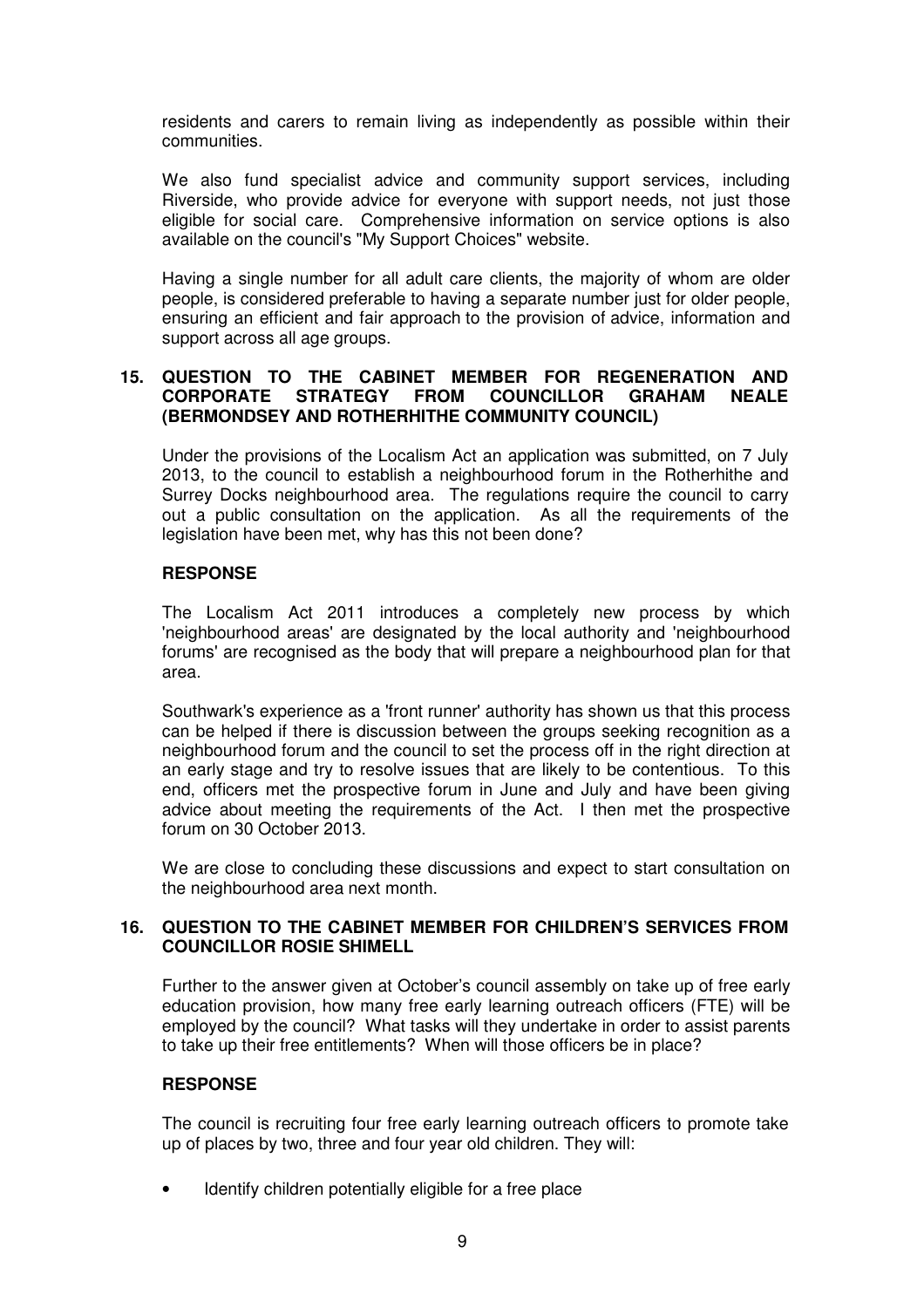residents and carers to remain living as independently as possible within their communities.

We also fund specialist advice and community support services, including Riverside, who provide advice for everyone with support needs, not just those eligible for social care. Comprehensive information on service options is also available on the council's "My Support Choices" website.

Having a single number for all adult care clients, the majority of whom are older people, is considered preferable to having a separate number just for older people, ensuring an efficient and fair approach to the provision of advice, information and support across all age groups.

# **15. QUESTION TO THE CABINET MEMBER FOR REGENERATION AND CORPORATE STRATEGY FROM COUNCILLOR GRAHAM NEALE (BERMONDSEY AND ROTHERHITHE COMMUNITY COUNCIL)**

Under the provisions of the Localism Act an application was submitted, on 7 July 2013, to the council to establish a neighbourhood forum in the Rotherhithe and Surrey Docks neighbourhood area. The regulations require the council to carry out a public consultation on the application. As all the requirements of the legislation have been met, why has this not been done?

# **RESPONSE**

The Localism Act 2011 introduces a completely new process by which 'neighbourhood areas' are designated by the local authority and 'neighbourhood forums' are recognised as the body that will prepare a neighbourhood plan for that area.

Southwark's experience as a 'front runner' authority has shown us that this process can be helped if there is discussion between the groups seeking recognition as a neighbourhood forum and the council to set the process off in the right direction at an early stage and try to resolve issues that are likely to be contentious. To this end, officers met the prospective forum in June and July and have been giving advice about meeting the requirements of the Act. I then met the prospective forum on 30 October 2013.

We are close to concluding these discussions and expect to start consultation on the neighbourhood area next month.

#### **16. QUESTION TO THE CABINET MEMBER FOR CHILDREN'S SERVICES FROM COUNCILLOR ROSIE SHIMELL**

Further to the answer given at October's council assembly on take up of free early education provision, how many free early learning outreach officers (FTE) will be employed by the council? What tasks will they undertake in order to assist parents to take up their free entitlements? When will those officers be in place?

### **RESPONSE**

The council is recruiting four free early learning outreach officers to promote take up of places by two, three and four year old children. They will:

Identify children potentially eligible for a free place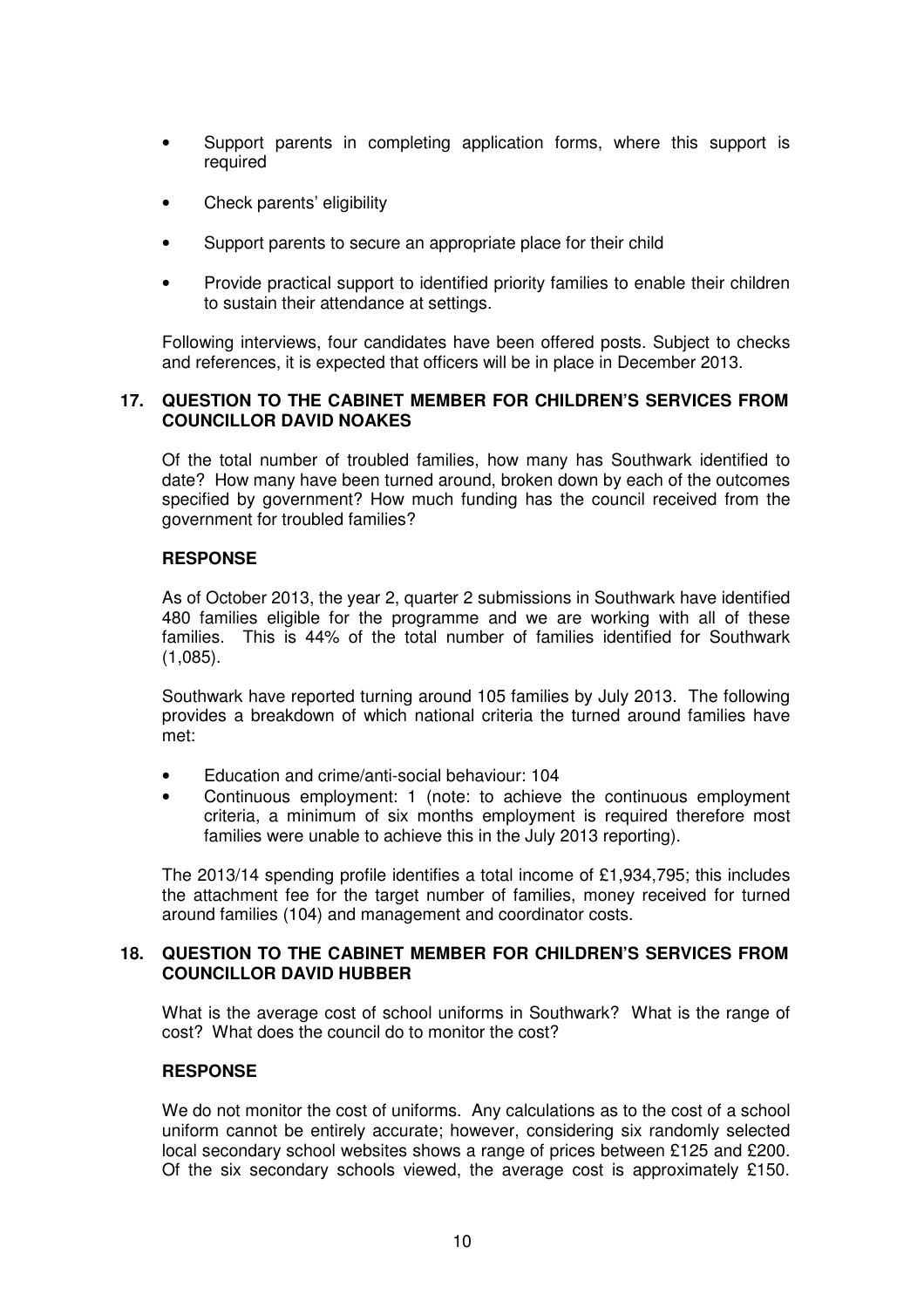- Support parents in completing application forms, where this support is required
- Check parents' eligibility
- Support parents to secure an appropriate place for their child
- Provide practical support to identified priority families to enable their children to sustain their attendance at settings.

Following interviews, four candidates have been offered posts. Subject to checks and references, it is expected that officers will be in place in December 2013.

### **17. QUESTION TO THE CABINET MEMBER FOR CHILDREN'S SERVICES FROM COUNCILLOR DAVID NOAKES**

Of the total number of troubled families, how many has Southwark identified to date? How many have been turned around, broken down by each of the outcomes specified by government? How much funding has the council received from the government for troubled families?

### **RESPONSE**

As of October 2013, the year 2, quarter 2 submissions in Southwark have identified 480 families eligible for the programme and we are working with all of these families. This is 44% of the total number of families identified for Southwark (1,085).

Southwark have reported turning around 105 families by July 2013. The following provides a breakdown of which national criteria the turned around families have met:

- Education and crime/anti-social behaviour: 104
- Continuous employment: 1 (note: to achieve the continuous employment criteria, a minimum of six months employment is required therefore most families were unable to achieve this in the July 2013 reporting).

The 2013/14 spending profile identifies a total income of £1,934,795; this includes the attachment fee for the target number of families, money received for turned around families (104) and management and coordinator costs.

### **18. QUESTION TO THE CABINET MEMBER FOR CHILDREN'S SERVICES FROM COUNCILLOR DAVID HUBBER**

What is the average cost of school uniforms in Southwark? What is the range of cost? What does the council do to monitor the cost?

# **RESPONSE**

We do not monitor the cost of uniforms. Any calculations as to the cost of a school uniform cannot be entirely accurate; however, considering six randomly selected local secondary school websites shows a range of prices between £125 and £200. Of the six secondary schools viewed, the average cost is approximately £150.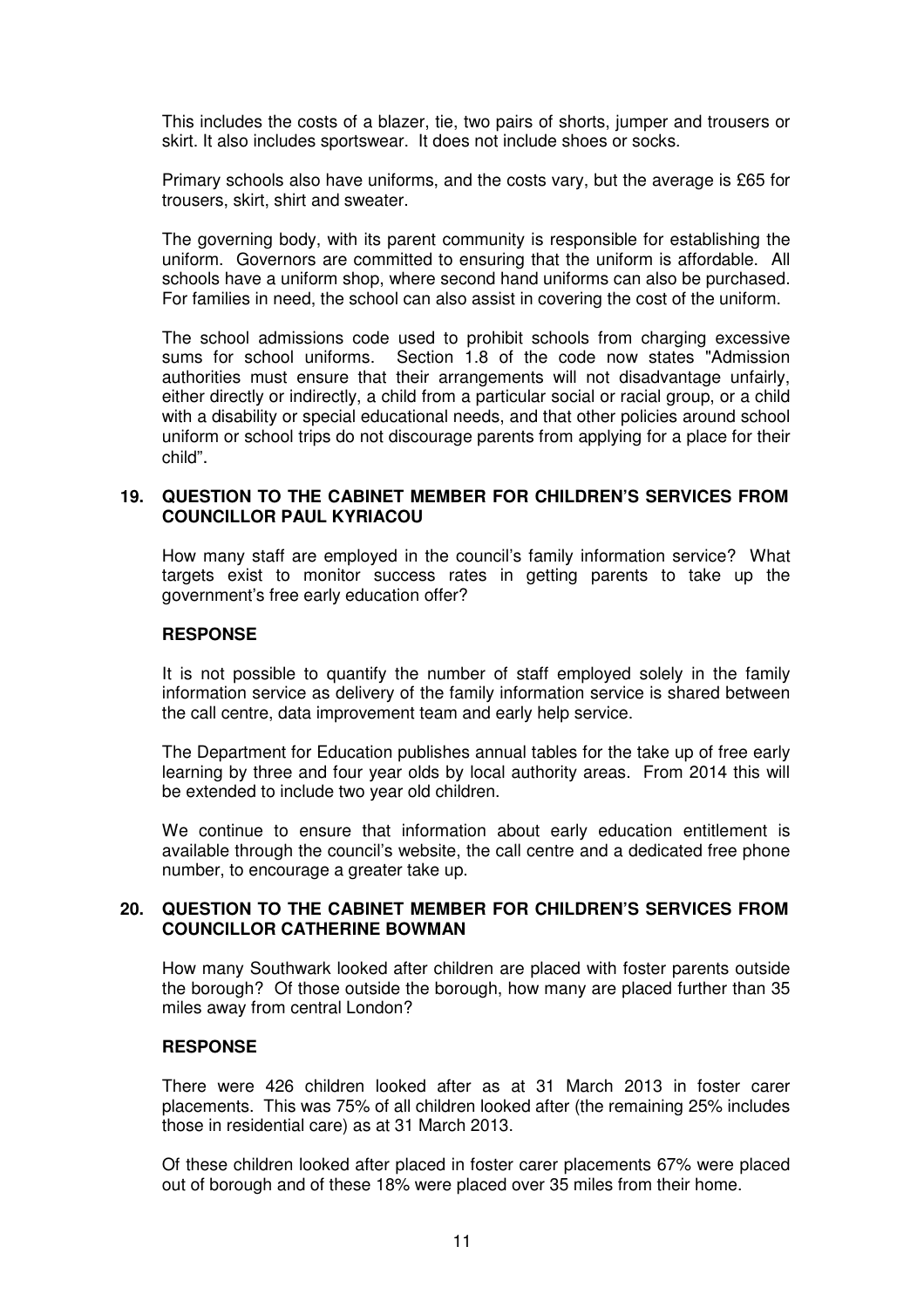This includes the costs of a blazer, tie, two pairs of shorts, jumper and trousers or skirt. It also includes sportswear. It does not include shoes or socks.

Primary schools also have uniforms, and the costs vary, but the average is £65 for trousers, skirt, shirt and sweater.

The governing body, with its parent community is responsible for establishing the uniform. Governors are committed to ensuring that the uniform is affordable. All schools have a uniform shop, where second hand uniforms can also be purchased. For families in need, the school can also assist in covering the cost of the uniform.

The school admissions code used to prohibit schools from charging excessive sums for school uniforms. Section 1.8 of the code now states "Admission authorities must ensure that their arrangements will not disadvantage unfairly, either directly or indirectly, a child from a particular social or racial group, or a child with a disability or special educational needs, and that other policies around school uniform or school trips do not discourage parents from applying for a place for their child".

### **19. QUESTION TO THE CABINET MEMBER FOR CHILDREN'S SERVICES FROM COUNCILLOR PAUL KYRIACOU**

How many staff are employed in the council's family information service? What targets exist to monitor success rates in getting parents to take up the government's free early education offer?

#### **RESPONSE**

It is not possible to quantify the number of staff employed solely in the family information service as delivery of the family information service is shared between the call centre, data improvement team and early help service.

The Department for Education publishes annual tables for the take up of free early learning by three and four year olds by local authority areas. From 2014 this will be extended to include two year old children.

We continue to ensure that information about early education entitlement is available through the council's website, the call centre and a dedicated free phone number, to encourage a greater take up.

#### **20. QUESTION TO THE CABINET MEMBER FOR CHILDREN'S SERVICES FROM COUNCILLOR CATHERINE BOWMAN**

How many Southwark looked after children are placed with foster parents outside the borough? Of those outside the borough, how many are placed further than 35 miles away from central London?

#### **RESPONSE**

There were 426 children looked after as at 31 March 2013 in foster carer placements. This was 75% of all children looked after (the remaining 25% includes those in residential care) as at 31 March 2013.

Of these children looked after placed in foster carer placements 67% were placed out of borough and of these 18% were placed over 35 miles from their home.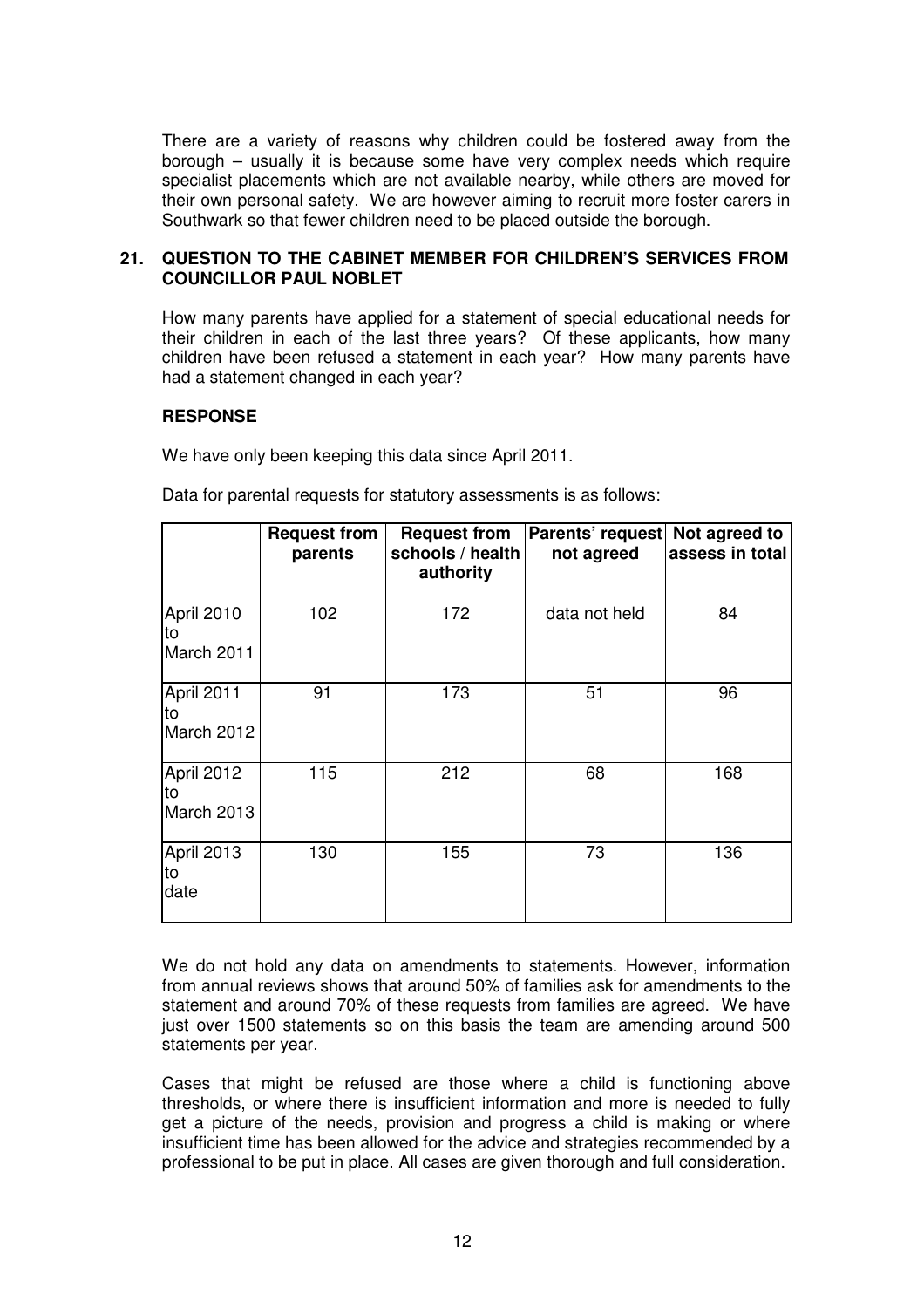There are a variety of reasons why children could be fostered away from the borough – usually it is because some have very complex needs which require specialist placements which are not available nearby, while others are moved for their own personal safety. We are however aiming to recruit more foster carers in Southwark so that fewer children need to be placed outside the borough.

### **21. QUESTION TO THE CABINET MEMBER FOR CHILDREN'S SERVICES FROM COUNCILLOR PAUL NOBLET**

How many parents have applied for a statement of special educational needs for their children in each of the last three years? Of these applicants, how many children have been refused a statement in each year? How many parents have had a statement changed in each year?

### **RESPONSE**

We have only been keeping this data since April 2011.

Data for parental requests for statutory assessments is as follows:

|                                | <b>Request from</b><br>parents | <b>Request from</b><br>schools / health<br>authority | Parents' request<br>not agreed | Not agreed to<br>assess in total |
|--------------------------------|--------------------------------|------------------------------------------------------|--------------------------------|----------------------------------|
| April 2010<br>to<br>March 2011 | 102                            | 172                                                  | data not held                  | 84                               |
| April 2011<br>to<br>March 2012 | 91                             | 173                                                  | 51                             | 96                               |
| April 2012<br>to<br>March 2013 | 115                            | 212                                                  | 68                             | 168                              |
| April 2013<br>to<br>date       | 130                            | 155                                                  | 73                             | 136                              |

We do not hold any data on amendments to statements. However, information from annual reviews shows that around 50% of families ask for amendments to the statement and around 70% of these requests from families are agreed. We have just over 1500 statements so on this basis the team are amending around 500 statements per year.

Cases that might be refused are those where a child is functioning above thresholds, or where there is insufficient information and more is needed to fully get a picture of the needs, provision and progress a child is making or where insufficient time has been allowed for the advice and strategies recommended by a professional to be put in place. All cases are given thorough and full consideration.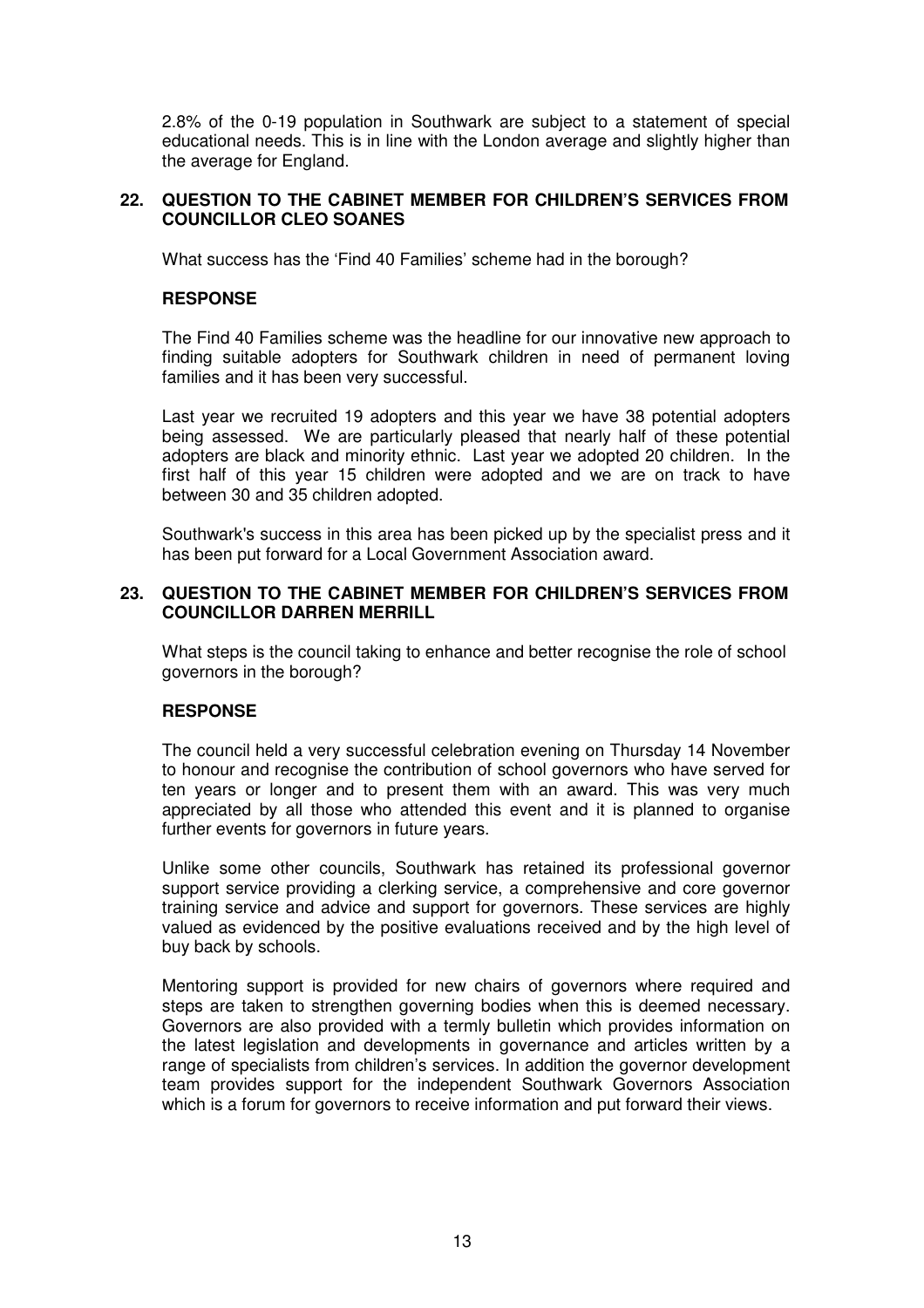2.8% of the 0-19 population in Southwark are subject to a statement of special educational needs. This is in line with the London average and slightly higher than the average for England.

### **22. QUESTION TO THE CABINET MEMBER FOR CHILDREN'S SERVICES FROM COUNCILLOR CLEO SOANES**

What success has the 'Find 40 Families' scheme had in the borough?

### **RESPONSE**

The Find 40 Families scheme was the headline for our innovative new approach to finding suitable adopters for Southwark children in need of permanent loving families and it has been very successful.

Last year we recruited 19 adopters and this year we have 38 potential adopters being assessed. We are particularly pleased that nearly half of these potential adopters are black and minority ethnic. Last year we adopted 20 children. In the first half of this year 15 children were adopted and we are on track to have between 30 and 35 children adopted.

Southwark's success in this area has been picked up by the specialist press and it has been put forward for a Local Government Association award.

#### **23. QUESTION TO THE CABINET MEMBER FOR CHILDREN'S SERVICES FROM COUNCILLOR DARREN MERRILL**

What steps is the council taking to enhance and better recognise the role of school governors in the borough?

### **RESPONSE**

The council held a very successful celebration evening on Thursday 14 November to honour and recognise the contribution of school governors who have served for ten years or longer and to present them with an award. This was very much appreciated by all those who attended this event and it is planned to organise further events for governors in future years.

Unlike some other councils, Southwark has retained its professional governor support service providing a clerking service, a comprehensive and core governor training service and advice and support for governors. These services are highly valued as evidenced by the positive evaluations received and by the high level of buy back by schools.

Mentoring support is provided for new chairs of governors where required and steps are taken to strengthen governing bodies when this is deemed necessary. Governors are also provided with a termly bulletin which provides information on the latest legislation and developments in governance and articles written by a range of specialists from children's services. In addition the governor development team provides support for the independent Southwark Governors Association which is a forum for governors to receive information and put forward their views.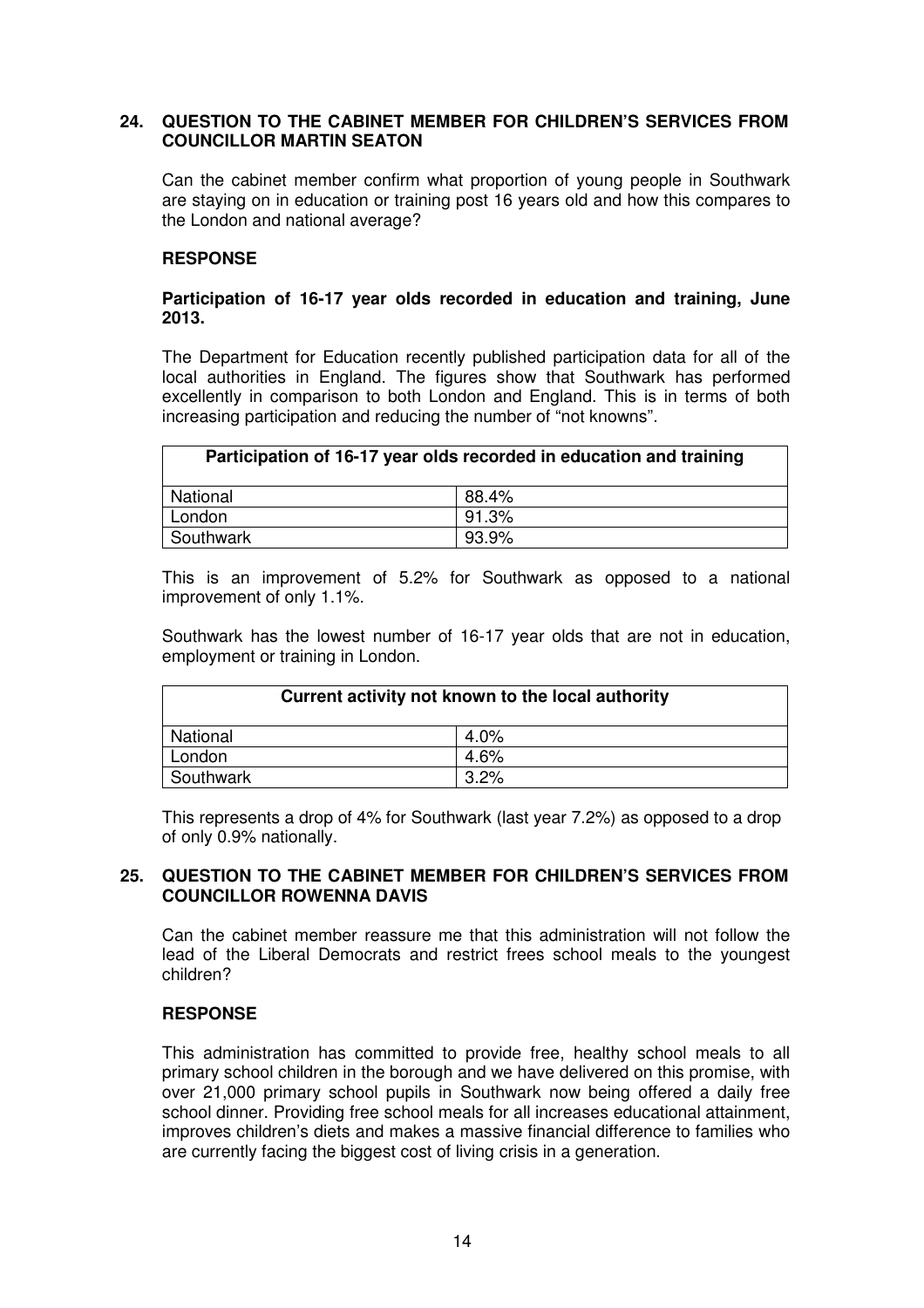### **24. QUESTION TO THE CABINET MEMBER FOR CHILDREN'S SERVICES FROM COUNCILLOR MARTIN SEATON**

Can the cabinet member confirm what proportion of young people in Southwark are staying on in education or training post 16 years old and how this compares to the London and national average?

# **RESPONSE**

### **Participation of 16-17 year olds recorded in education and training, June 2013.**

The Department for Education recently published participation data for all of the local authorities in England. The figures show that Southwark has performed excellently in comparison to both London and England. This is in terms of both increasing participation and reducing the number of "not knowns".

| Participation of 16-17 year olds recorded in education and training |          |  |
|---------------------------------------------------------------------|----------|--|
| National                                                            | 88.4%    |  |
| London                                                              | 91.3%    |  |
| Southwark                                                           | $93.9\%$ |  |

This is an improvement of 5.2% for Southwark as opposed to a national improvement of only 1.1%.

Southwark has the lowest number of 16-17 year olds that are not in education, employment or training in London.

| Current activity not known to the local authority |         |  |
|---------------------------------------------------|---------|--|
| National                                          | $4.0\%$ |  |
| London                                            | 4.6%    |  |
| Southwark                                         | 3.2%    |  |

This represents a drop of 4% for Southwark (last year 7.2%) as opposed to a drop of only 0.9% nationally.

# **25. QUESTION TO THE CABINET MEMBER FOR CHILDREN'S SERVICES FROM COUNCILLOR ROWENNA DAVIS**

Can the cabinet member reassure me that this administration will not follow the lead of the Liberal Democrats and restrict frees school meals to the youngest children?

### **RESPONSE**

This administration has committed to provide free, healthy school meals to all primary school children in the borough and we have delivered on this promise, with over 21,000 primary school pupils in Southwark now being offered a daily free school dinner. Providing free school meals for all increases educational attainment, improves children's diets and makes a massive financial difference to families who are currently facing the biggest cost of living crisis in a generation.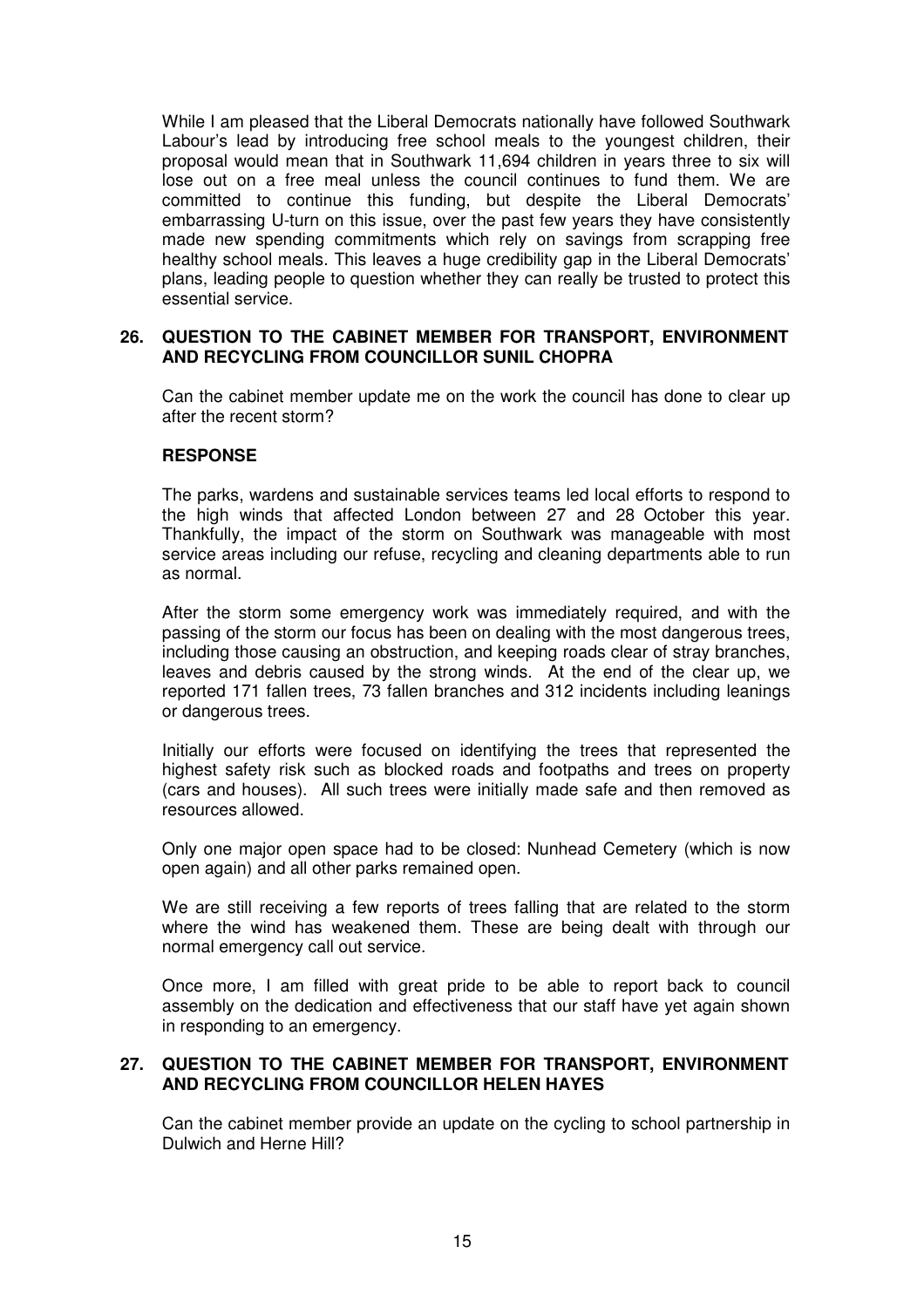While I am pleased that the Liberal Democrats nationally have followed Southwark Labour's lead by introducing free school meals to the youngest children, their proposal would mean that in Southwark 11,694 children in years three to six will lose out on a free meal unless the council continues to fund them. We are committed to continue this funding, but despite the Liberal Democrats' embarrassing U-turn on this issue, over the past few years they have consistently made new spending commitments which rely on savings from scrapping free healthy school meals. This leaves a huge credibility gap in the Liberal Democrats' plans, leading people to question whether they can really be trusted to protect this essential service.

### **26. QUESTION TO THE CABINET MEMBER FOR TRANSPORT, ENVIRONMENT AND RECYCLING FROM COUNCILLOR SUNIL CHOPRA**

Can the cabinet member update me on the work the council has done to clear up after the recent storm?

### **RESPONSE**

The parks, wardens and sustainable services teams led local efforts to respond to the high winds that affected London between 27 and 28 October this year. Thankfully, the impact of the storm on Southwark was manageable with most service areas including our refuse, recycling and cleaning departments able to run as normal.

After the storm some emergency work was immediately required, and with the passing of the storm our focus has been on dealing with the most dangerous trees, including those causing an obstruction, and keeping roads clear of stray branches, leaves and debris caused by the strong winds. At the end of the clear up, we reported 171 fallen trees, 73 fallen branches and 312 incidents including leanings or dangerous trees.

Initially our efforts were focused on identifying the trees that represented the highest safety risk such as blocked roads and footpaths and trees on property (cars and houses). All such trees were initially made safe and then removed as resources allowed.

Only one major open space had to be closed: Nunhead Cemetery (which is now open again) and all other parks remained open.

We are still receiving a few reports of trees falling that are related to the storm where the wind has weakened them. These are being dealt with through our normal emergency call out service.

Once more, I am filled with great pride to be able to report back to council assembly on the dedication and effectiveness that our staff have yet again shown in responding to an emergency.

#### **27. QUESTION TO THE CABINET MEMBER FOR TRANSPORT, ENVIRONMENT AND RECYCLING FROM COUNCILLOR HELEN HAYES**

Can the cabinet member provide an update on the cycling to school partnership in Dulwich and Herne Hill?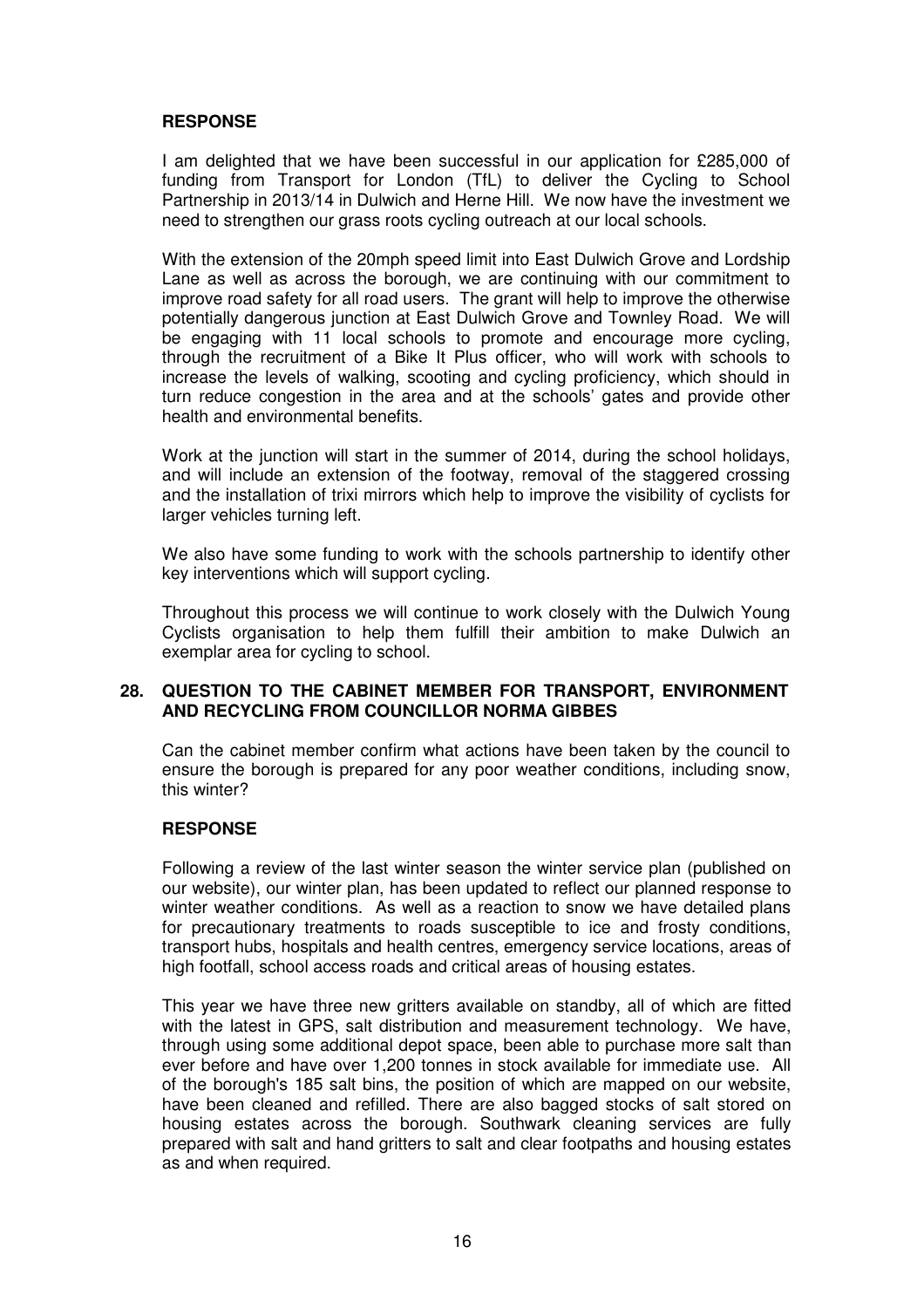# **RESPONSE**

I am delighted that we have been successful in our application for £285,000 of funding from Transport for London (TfL) to deliver the Cycling to School Partnership in 2013/14 in Dulwich and Herne Hill. We now have the investment we need to strengthen our grass roots cycling outreach at our local schools.

With the extension of the 20mph speed limit into East Dulwich Grove and Lordship Lane as well as across the borough, we are continuing with our commitment to improve road safety for all road users. The grant will help to improve the otherwise potentially dangerous junction at East Dulwich Grove and Townley Road. We will be engaging with 11 local schools to promote and encourage more cycling, through the recruitment of a Bike It Plus officer, who will work with schools to increase the levels of walking, scooting and cycling proficiency, which should in turn reduce congestion in the area and at the schools' gates and provide other health and environmental benefits.

Work at the junction will start in the summer of 2014, during the school holidays, and will include an extension of the footway, removal of the staggered crossing and the installation of trixi mirrors which help to improve the visibility of cyclists for larger vehicles turning left.

We also have some funding to work with the schools partnership to identify other key interventions which will support cycling.

Throughout this process we will continue to work closely with the Dulwich Young Cyclists organisation to help them fulfill their ambition to make Dulwich an exemplar area for cycling to school.

### **28. QUESTION TO THE CABINET MEMBER FOR TRANSPORT, ENVIRONMENT AND RECYCLING FROM COUNCILLOR NORMA GIBBES**

Can the cabinet member confirm what actions have been taken by the council to ensure the borough is prepared for any poor weather conditions, including snow, this winter?

### **RESPONSE**

Following a review of the last winter season the winter service plan (published on our website), our winter plan, has been updated to reflect our planned response to winter weather conditions. As well as a reaction to snow we have detailed plans for precautionary treatments to roads susceptible to ice and frosty conditions, transport hubs, hospitals and health centres, emergency service locations, areas of high footfall, school access roads and critical areas of housing estates.

This year we have three new gritters available on standby, all of which are fitted with the latest in GPS, salt distribution and measurement technology. We have, through using some additional depot space, been able to purchase more salt than ever before and have over 1,200 tonnes in stock available for immediate use. All of the borough's 185 salt bins, the position of which are mapped on our website, have been cleaned and refilled. There are also bagged stocks of salt stored on housing estates across the borough. Southwark cleaning services are fully prepared with salt and hand gritters to salt and clear footpaths and housing estates as and when required.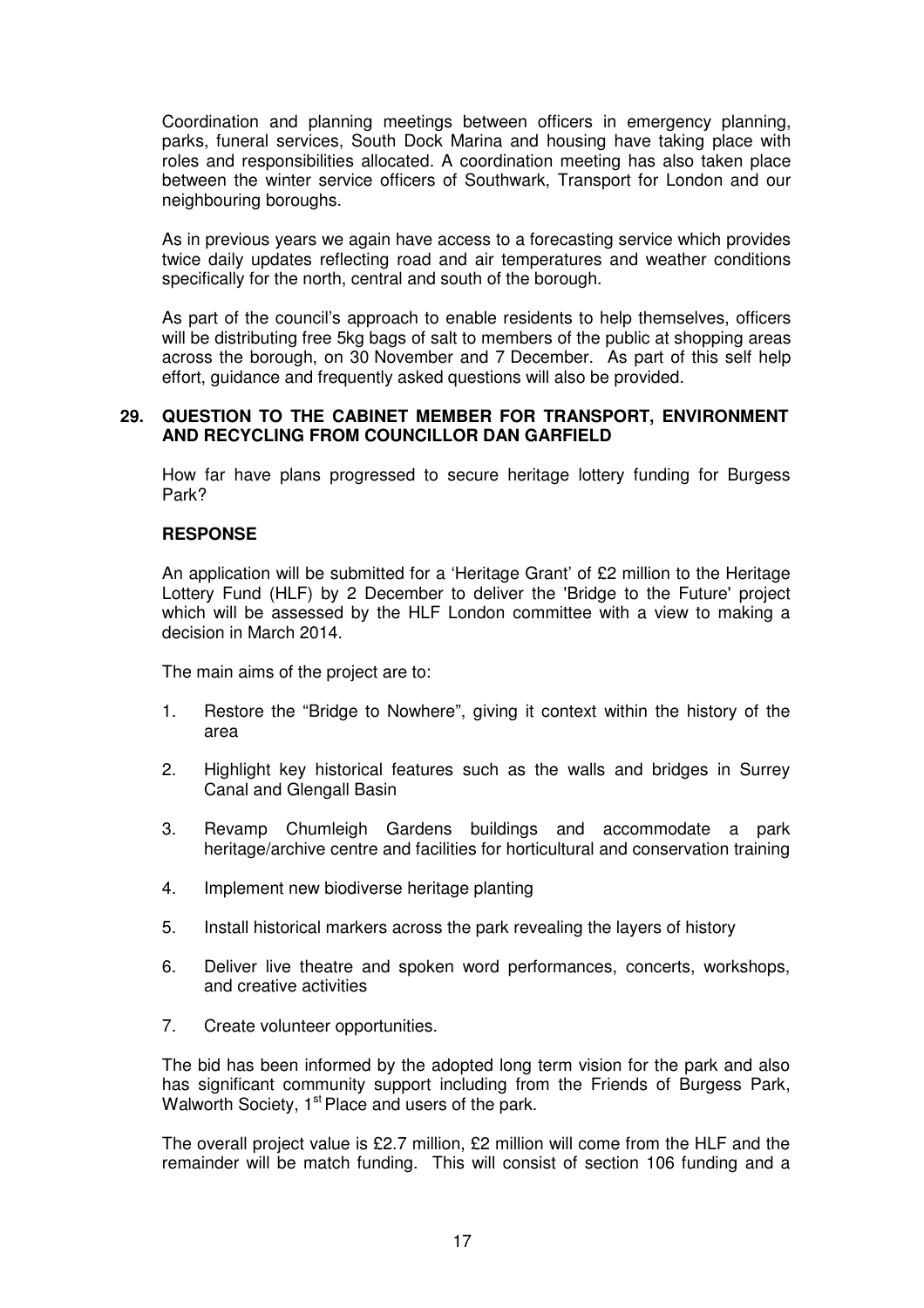Coordination and planning meetings between officers in emergency planning, parks, funeral services, South Dock Marina and housing have taking place with roles and responsibilities allocated. A coordination meeting has also taken place between the winter service officers of Southwark, Transport for London and our neighbouring boroughs.

As in previous years we again have access to a forecasting service which provides twice daily updates reflecting road and air temperatures and weather conditions specifically for the north, central and south of the borough.

As part of the council's approach to enable residents to help themselves, officers will be distributing free 5kg bags of salt to members of the public at shopping areas across the borough, on 30 November and 7 December. As part of this self help effort, guidance and frequently asked questions will also be provided.

#### **29. QUESTION TO THE CABINET MEMBER FOR TRANSPORT, ENVIRONMENT AND RECYCLING FROM COUNCILLOR DAN GARFIELD**

How far have plans progressed to secure heritage lottery funding for Burgess Park?

### **RESPONSE**

An application will be submitted for a 'Heritage Grant' of £2 million to the Heritage Lottery Fund (HLF) by 2 December to deliver the 'Bridge to the Future' project which will be assessed by the HLF London committee with a view to making a decision in March 2014.

The main aims of the project are to:

- 1. Restore the "Bridge to Nowhere", giving it context within the history of the area
- 2. Highlight key historical features such as the walls and bridges in Surrey Canal and Glengall Basin
- 3. Revamp Chumleigh Gardens buildings and accommodate a park heritage/archive centre and facilities for horticultural and conservation training
- 4. Implement new biodiverse heritage planting
- 5. Install historical markers across the park revealing the layers of history
- 6. Deliver live theatre and spoken word performances, concerts, workshops, and creative activities
- 7. Create volunteer opportunities.

The bid has been informed by the adopted long term vision for the park and also has significant community support including from the Friends of Burgess Park, Walworth Society, 1<sup>st</sup> Place and users of the park.

The overall project value is £2.7 million, £2 million will come from the HLF and the remainder will be match funding. This will consist of section 106 funding and a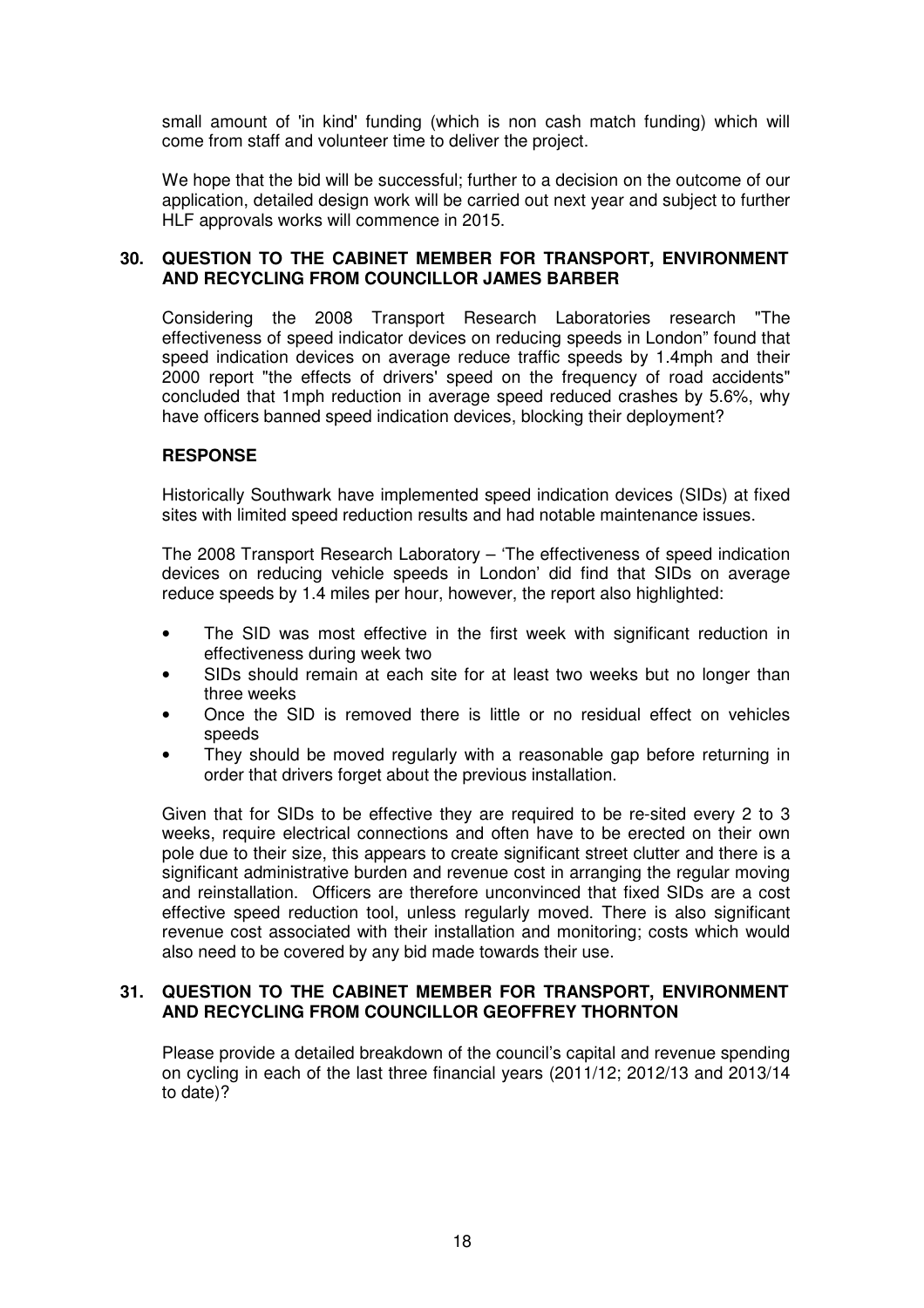small amount of 'in kind' funding (which is non cash match funding) which will come from staff and volunteer time to deliver the project.

We hope that the bid will be successful; further to a decision on the outcome of our application, detailed design work will be carried out next year and subject to further HLF approvals works will commence in 2015.

### **30. QUESTION TO THE CABINET MEMBER FOR TRANSPORT, ENVIRONMENT AND RECYCLING FROM COUNCILLOR JAMES BARBER**

Considering the 2008 Transport Research Laboratories research "The effectiveness of speed indicator devices on reducing speeds in London" found that speed indication devices on average reduce traffic speeds by 1.4mph and their 2000 report "the effects of drivers' speed on the frequency of road accidents" concluded that 1mph reduction in average speed reduced crashes by 5.6%, why have officers banned speed indication devices, blocking their deployment?

### **RESPONSE**

Historically Southwark have implemented speed indication devices (SIDs) at fixed sites with limited speed reduction results and had notable maintenance issues.

The 2008 Transport Research Laboratory – 'The effectiveness of speed indication devices on reducing vehicle speeds in London' did find that SIDs on average reduce speeds by 1.4 miles per hour, however, the report also highlighted:

- The SID was most effective in the first week with significant reduction in effectiveness during week two
- SIDs should remain at each site for at least two weeks but no longer than three weeks
- Once the SID is removed there is little or no residual effect on vehicles speeds
- They should be moved regularly with a reasonable gap before returning in order that drivers forget about the previous installation.

Given that for SIDs to be effective they are required to be re-sited every 2 to 3 weeks, require electrical connections and often have to be erected on their own pole due to their size, this appears to create significant street clutter and there is a significant administrative burden and revenue cost in arranging the regular moving and reinstallation. Officers are therefore unconvinced that fixed SIDs are a cost effective speed reduction tool, unless regularly moved. There is also significant revenue cost associated with their installation and monitoring; costs which would also need to be covered by any bid made towards their use.

#### **31. QUESTION TO THE CABINET MEMBER FOR TRANSPORT, ENVIRONMENT AND RECYCLING FROM COUNCILLOR GEOFFREY THORNTON**

Please provide a detailed breakdown of the council's capital and revenue spending on cycling in each of the last three financial years (2011/12; 2012/13 and 2013/14 to date)?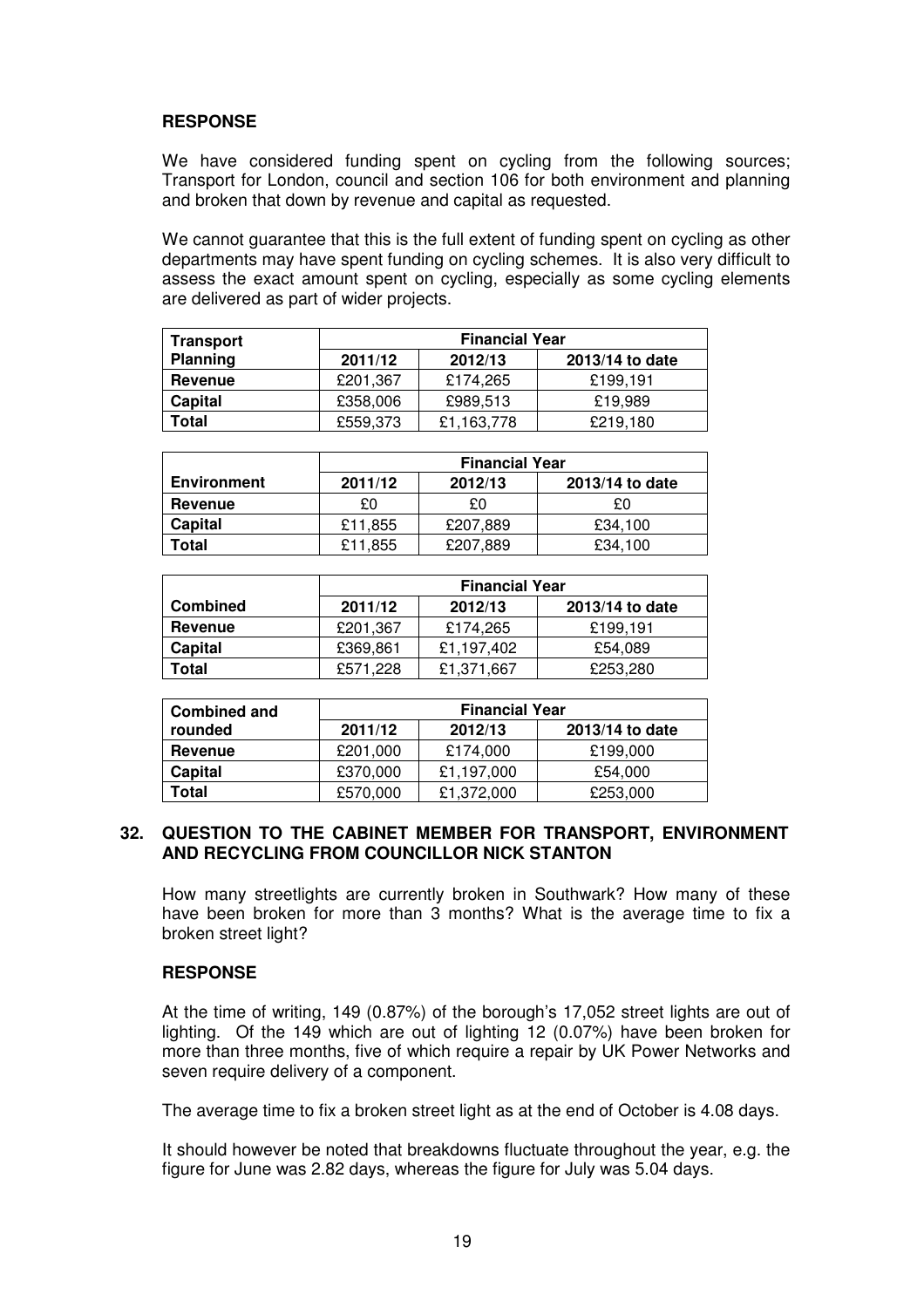# **RESPONSE**

We have considered funding spent on cycling from the following sources; Transport for London, council and section 106 for both environment and planning and broken that down by revenue and capital as requested.

We cannot guarantee that this is the full extent of funding spent on cycling as other departments may have spent funding on cycling schemes. It is also very difficult to assess the exact amount spent on cycling, especially as some cycling elements are delivered as part of wider projects.

| Transport       | <b>Financial Year</b>                 |            |          |  |  |
|-----------------|---------------------------------------|------------|----------|--|--|
| <b>Planning</b> | 2013/14 to date<br>2011/12<br>2012/13 |            |          |  |  |
| Revenue         | £201.367                              | £174.265   | £199.191 |  |  |
| Capital         | £358,006                              | £989,513   | £19.989  |  |  |
| Total           | £559,373                              | £1,163,778 | £219,180 |  |  |

|                    | <b>Financial Year</b> |          |                 |
|--------------------|-----------------------|----------|-----------------|
| <b>Environment</b> | 2011/12               | 2012/13  | 2013/14 to date |
| Revenue            | £0                    | £0       | £Ω              |
| Capital            | £11,855               | £207,889 | £34,100         |
| Total              | £11,855               | £207,889 | £34,100         |

|                 | <b>Financial Year</b> |            |                 |
|-----------------|-----------------------|------------|-----------------|
| <b>Combined</b> | 2011/12               | 2012/13    | 2013/14 to date |
| Revenue         | £201,367              | £174,265   | £199,191        |
| Capital         | £369,861              | £1,197,402 | £54.089         |
| Total           | £571,228              | £1,371,667 | £253,280        |

| <b>Combined and</b> |          | <b>Financial Year</b> |                 |  |
|---------------------|----------|-----------------------|-----------------|--|
| rounded             | 2011/12  | 2012/13               | 2013/14 to date |  |
| Revenue             | £201.000 | £174.000              | £199,000        |  |
| Capital             | £370,000 | £1.197.000            | £54,000         |  |
| Total               | £570,000 | £1,372,000            | £253,000        |  |

#### **32. QUESTION TO THE CABINET MEMBER FOR TRANSPORT, ENVIRONMENT AND RECYCLING FROM COUNCILLOR NICK STANTON**

How many streetlights are currently broken in Southwark? How many of these have been broken for more than 3 months? What is the average time to fix a broken street light?

### **RESPONSE**

At the time of writing, 149 (0.87%) of the borough's 17,052 street lights are out of lighting. Of the 149 which are out of lighting 12 (0.07%) have been broken for more than three months, five of which require a repair by UK Power Networks and seven require delivery of a component.

The average time to fix a broken street light as at the end of October is 4.08 days.

It should however be noted that breakdowns fluctuate throughout the year, e.g. the figure for June was 2.82 days, whereas the figure for July was 5.04 days.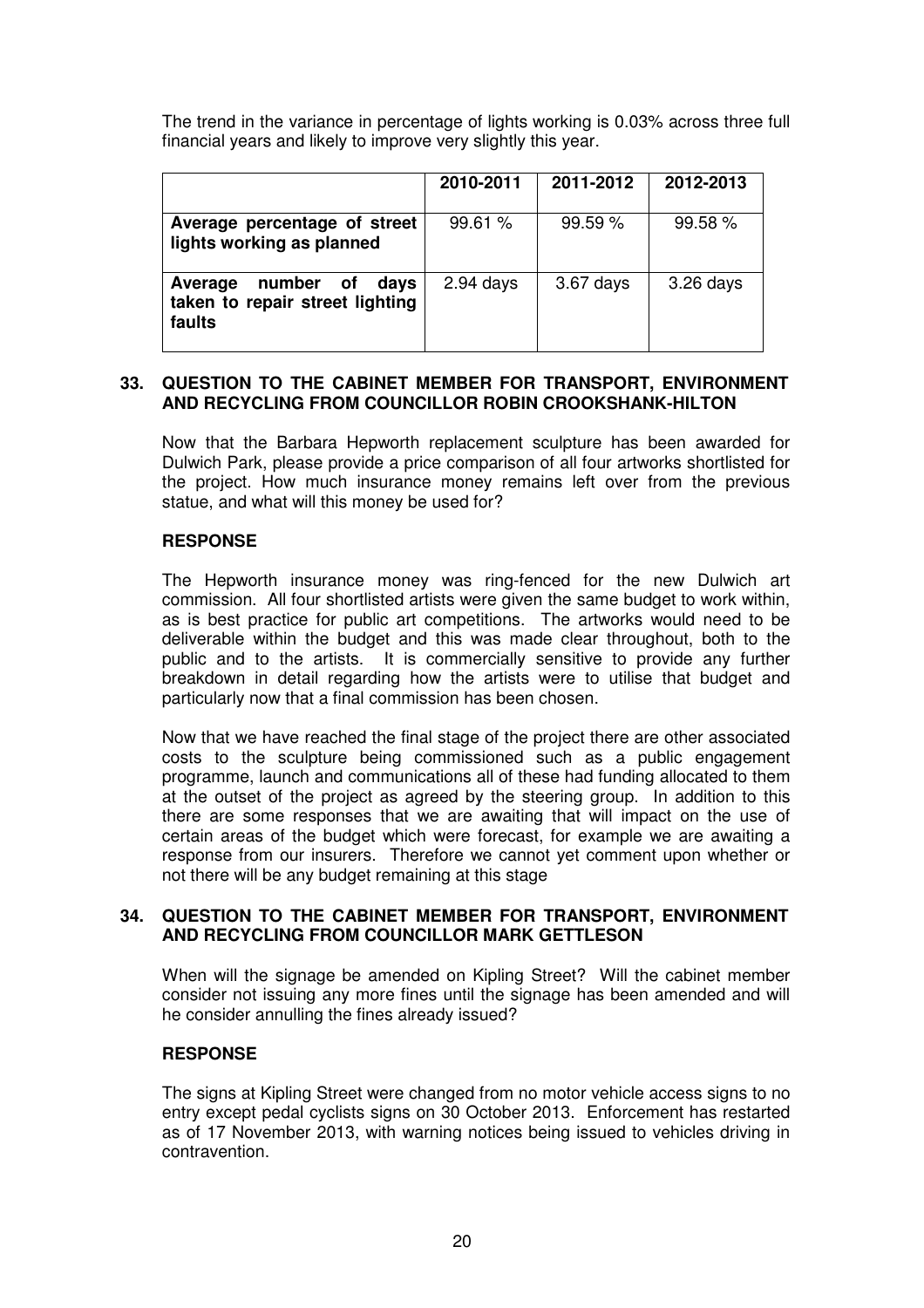The trend in the variance in percentage of lights working is 0.03% across three full financial years and likely to improve very slightly this year.

|                                                                           | 2010-2011   | 2011-2012 | 2012-2013   |
|---------------------------------------------------------------------------|-------------|-----------|-------------|
| Average percentage of street<br>lights working as planned                 | 99.61%      | 99.59%    | 99.58%      |
| number of<br>days<br>Average<br>taken to repair street lighting<br>faults | $2.94$ days | 3.67 days | $3.26$ days |

### **33. QUESTION TO THE CABINET MEMBER FOR TRANSPORT, ENVIRONMENT AND RECYCLING FROM COUNCILLOR ROBIN CROOKSHANK-HILTON**

Now that the Barbara Hepworth replacement sculpture has been awarded for Dulwich Park, please provide a price comparison of all four artworks shortlisted for the project. How much insurance money remains left over from the previous statue, and what will this money be used for?

# **RESPONSE**

The Hepworth insurance money was ring-fenced for the new Dulwich art commission. All four shortlisted artists were given the same budget to work within, as is best practice for public art competitions. The artworks would need to be deliverable within the budget and this was made clear throughout, both to the public and to the artists. It is commercially sensitive to provide any further breakdown in detail regarding how the artists were to utilise that budget and particularly now that a final commission has been chosen.

Now that we have reached the final stage of the project there are other associated costs to the sculpture being commissioned such as a public engagement programme, launch and communications all of these had funding allocated to them at the outset of the project as agreed by the steering group. In addition to this there are some responses that we are awaiting that will impact on the use of certain areas of the budget which were forecast, for example we are awaiting a response from our insurers. Therefore we cannot yet comment upon whether or not there will be any budget remaining at this stage

### **34. QUESTION TO THE CABINET MEMBER FOR TRANSPORT, ENVIRONMENT AND RECYCLING FROM COUNCILLOR MARK GETTLESON**

When will the signage be amended on Kipling Street? Will the cabinet member consider not issuing any more fines until the signage has been amended and will he consider annulling the fines already issued?

### **RESPONSE**

The signs at Kipling Street were changed from no motor vehicle access signs to no entry except pedal cyclists signs on 30 October 2013. Enforcement has restarted as of 17 November 2013, with warning notices being issued to vehicles driving in contravention.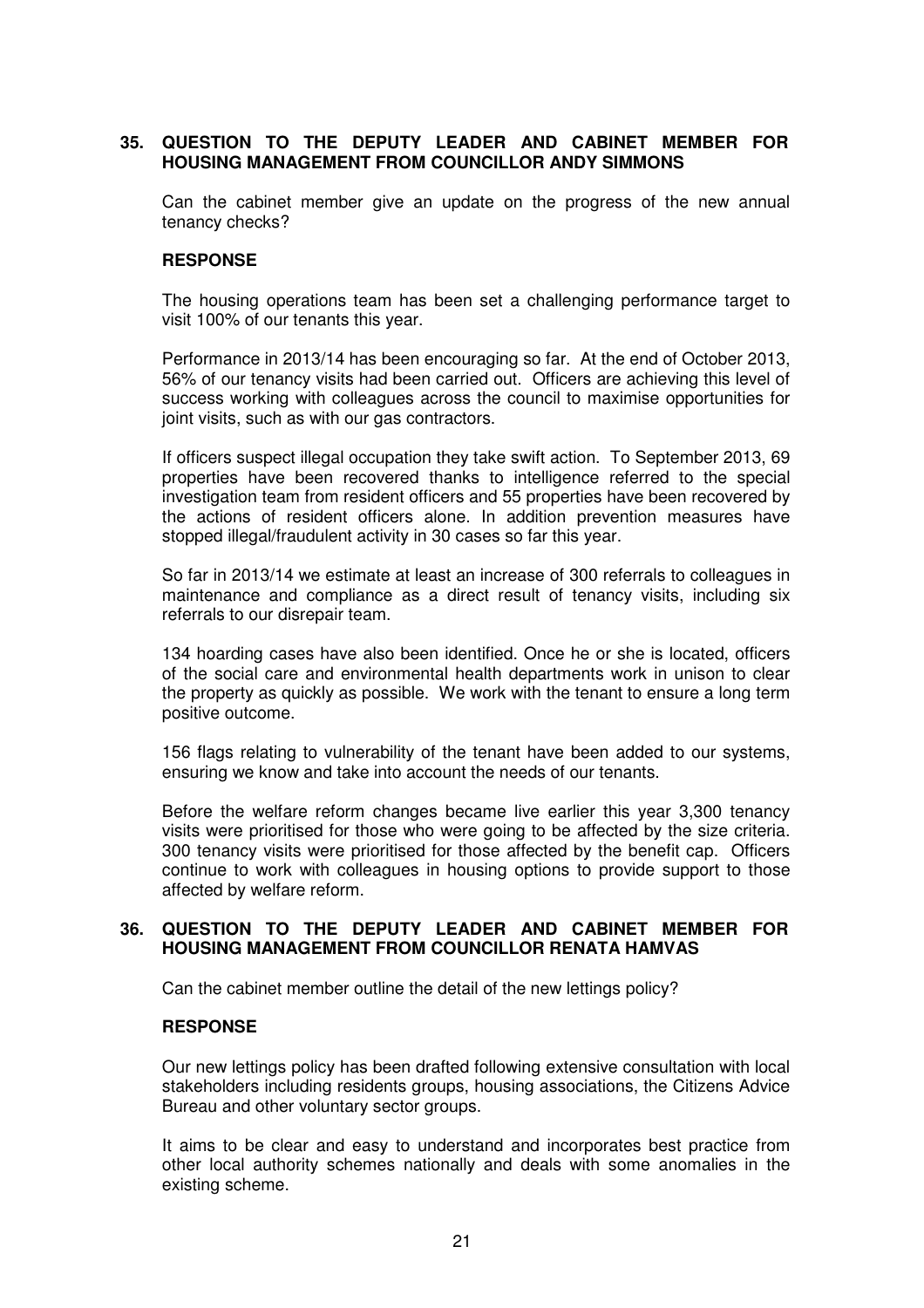# **35. QUESTION TO THE DEPUTY LEADER AND CABINET MEMBER FOR HOUSING MANAGEMENT FROM COUNCILLOR ANDY SIMMONS**

Can the cabinet member give an update on the progress of the new annual tenancy checks?

### **RESPONSE**

The housing operations team has been set a challenging performance target to visit 100% of our tenants this year.

Performance in 2013/14 has been encouraging so far. At the end of October 2013, 56% of our tenancy visits had been carried out. Officers are achieving this level of success working with colleagues across the council to maximise opportunities for joint visits, such as with our gas contractors.

If officers suspect illegal occupation they take swift action. To September 2013, 69 properties have been recovered thanks to intelligence referred to the special investigation team from resident officers and 55 properties have been recovered by the actions of resident officers alone. In addition prevention measures have stopped illegal/fraudulent activity in 30 cases so far this year.

So far in 2013/14 we estimate at least an increase of 300 referrals to colleagues in maintenance and compliance as a direct result of tenancy visits, including six referrals to our disrepair team.

134 hoarding cases have also been identified. Once he or she is located, officers of the social care and environmental health departments work in unison to clear the property as quickly as possible. We work with the tenant to ensure a long term positive outcome.

156 flags relating to vulnerability of the tenant have been added to our systems, ensuring we know and take into account the needs of our tenants.

Before the welfare reform changes became live earlier this year 3,300 tenancy visits were prioritised for those who were going to be affected by the size criteria. 300 tenancy visits were prioritised for those affected by the benefit cap. Officers continue to work with colleagues in housing options to provide support to those affected by welfare reform.

#### **36. QUESTION TO THE DEPUTY LEADER AND CABINET MEMBER FOR HOUSING MANAGEMENT FROM COUNCILLOR RENATA HAMVAS**

Can the cabinet member outline the detail of the new lettings policy?

#### **RESPONSE**

Our new lettings policy has been drafted following extensive consultation with local stakeholders including residents groups, housing associations, the Citizens Advice Bureau and other voluntary sector groups.

It aims to be clear and easy to understand and incorporates best practice from other local authority schemes nationally and deals with some anomalies in the existing scheme.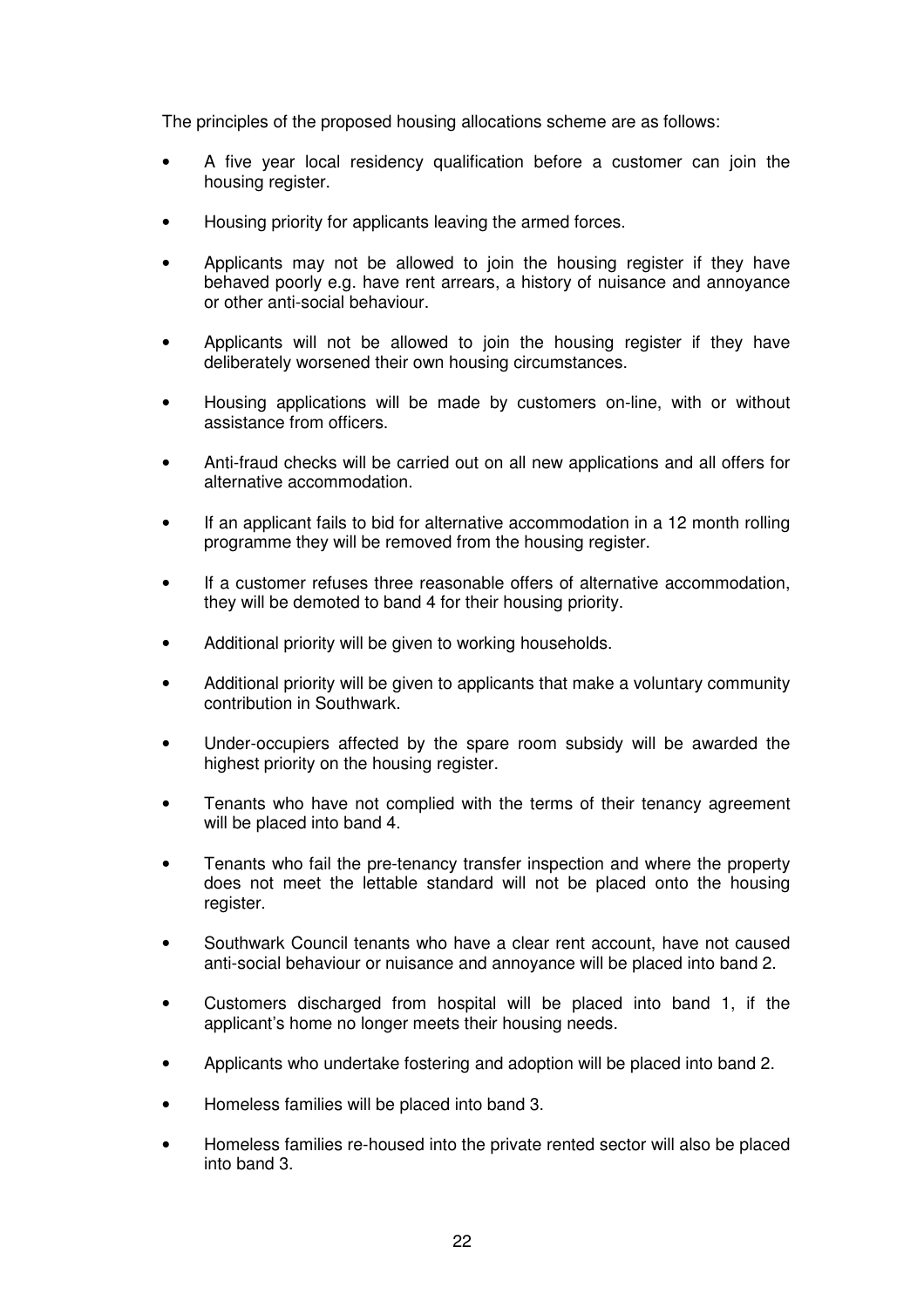The principles of the proposed housing allocations scheme are as follows:

- A five year local residency qualification before a customer can join the housing register.
- Housing priority for applicants leaving the armed forces.
- Applicants may not be allowed to join the housing register if they have behaved poorly e.g. have rent arrears, a history of nuisance and annoyance or other anti-social behaviour.
- Applicants will not be allowed to join the housing register if they have deliberately worsened their own housing circumstances.
- Housing applications will be made by customers on-line, with or without assistance from officers.
- Anti-fraud checks will be carried out on all new applications and all offers for alternative accommodation.
- If an applicant fails to bid for alternative accommodation in a 12 month rolling programme they will be removed from the housing register.
- If a customer refuses three reasonable offers of alternative accommodation, they will be demoted to band 4 for their housing priority.
- Additional priority will be given to working households.
- Additional priority will be given to applicants that make a voluntary community contribution in Southwark.
- Under-occupiers affected by the spare room subsidy will be awarded the highest priority on the housing register.
- Tenants who have not complied with the terms of their tenancy agreement will be placed into band 4.
- Tenants who fail the pre-tenancy transfer inspection and where the property does not meet the lettable standard will not be placed onto the housing register.
- Southwark Council tenants who have a clear rent account, have not caused anti-social behaviour or nuisance and annoyance will be placed into band 2.
- Customers discharged from hospital will be placed into band 1, if the applicant's home no longer meets their housing needs.
- Applicants who undertake fostering and adoption will be placed into band 2.
- Homeless families will be placed into band 3.
- Homeless families re-housed into the private rented sector will also be placed into band 3.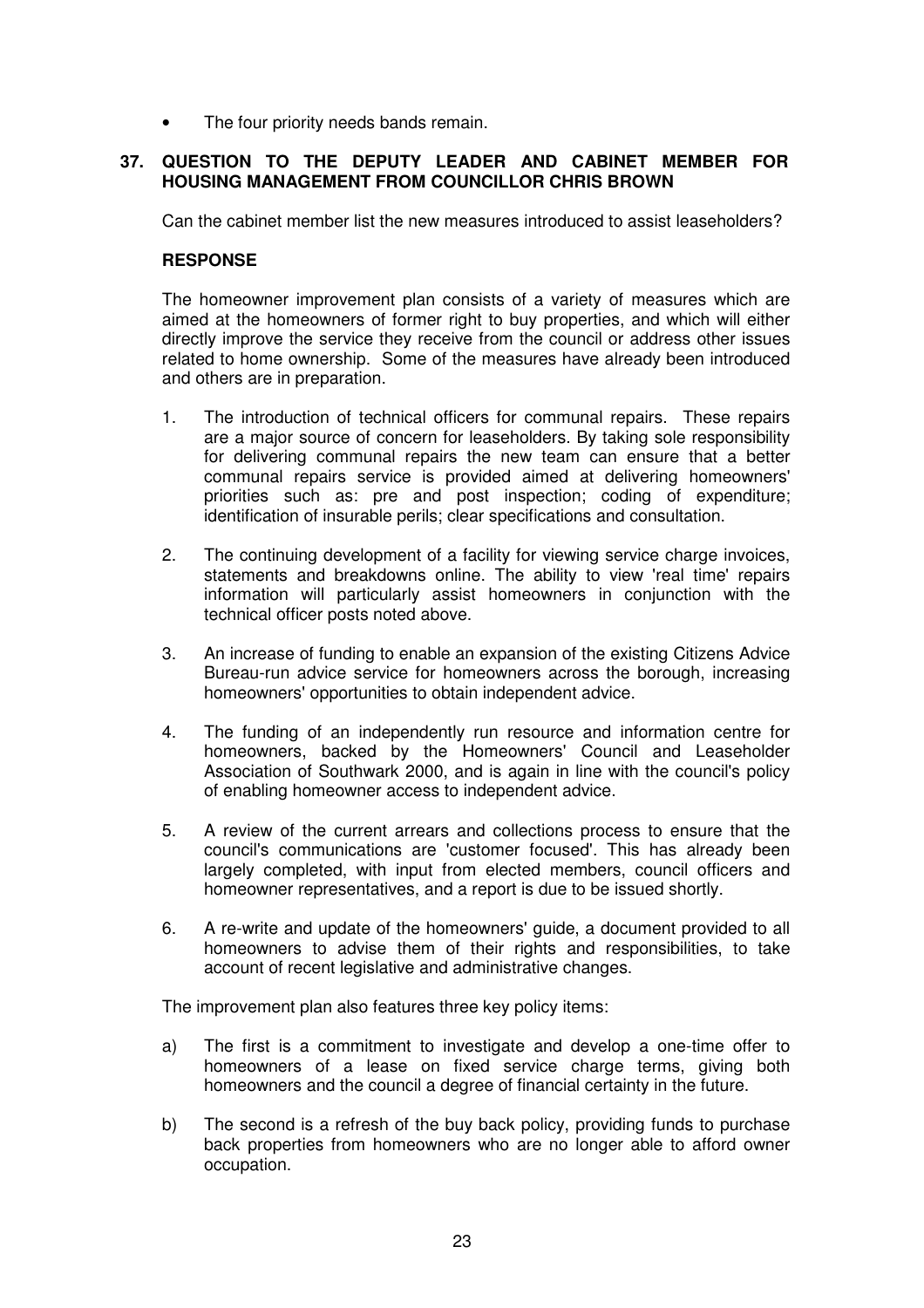The four priority needs bands remain.

### **37. QUESTION TO THE DEPUTY LEADER AND CABINET MEMBER FOR HOUSING MANAGEMENT FROM COUNCILLOR CHRIS BROWN**

Can the cabinet member list the new measures introduced to assist leaseholders?

### **RESPONSE**

The homeowner improvement plan consists of a variety of measures which are aimed at the homeowners of former right to buy properties, and which will either directly improve the service they receive from the council or address other issues related to home ownership. Some of the measures have already been introduced and others are in preparation.

- 1. The introduction of technical officers for communal repairs. These repairs are a major source of concern for leaseholders. By taking sole responsibility for delivering communal repairs the new team can ensure that a better communal repairs service is provided aimed at delivering homeowners' priorities such as: pre and post inspection; coding of expenditure; identification of insurable perils; clear specifications and consultation.
- 2. The continuing development of a facility for viewing service charge invoices, statements and breakdowns online. The ability to view 'real time' repairs information will particularly assist homeowners in conjunction with the technical officer posts noted above.
- 3. An increase of funding to enable an expansion of the existing Citizens Advice Bureau-run advice service for homeowners across the borough, increasing homeowners' opportunities to obtain independent advice.
- 4. The funding of an independently run resource and information centre for homeowners, backed by the Homeowners' Council and Leaseholder Association of Southwark 2000, and is again in line with the council's policy of enabling homeowner access to independent advice.
- 5. A review of the current arrears and collections process to ensure that the council's communications are 'customer focused'. This has already been largely completed, with input from elected members, council officers and homeowner representatives, and a report is due to be issued shortly.
- 6. A re-write and update of the homeowners' guide, a document provided to all homeowners to advise them of their rights and responsibilities, to take account of recent legislative and administrative changes.

The improvement plan also features three key policy items:

- a) The first is a commitment to investigate and develop a one-time offer to homeowners of a lease on fixed service charge terms, giving both homeowners and the council a degree of financial certainty in the future.
- b) The second is a refresh of the buy back policy, providing funds to purchase back properties from homeowners who are no longer able to afford owner occupation.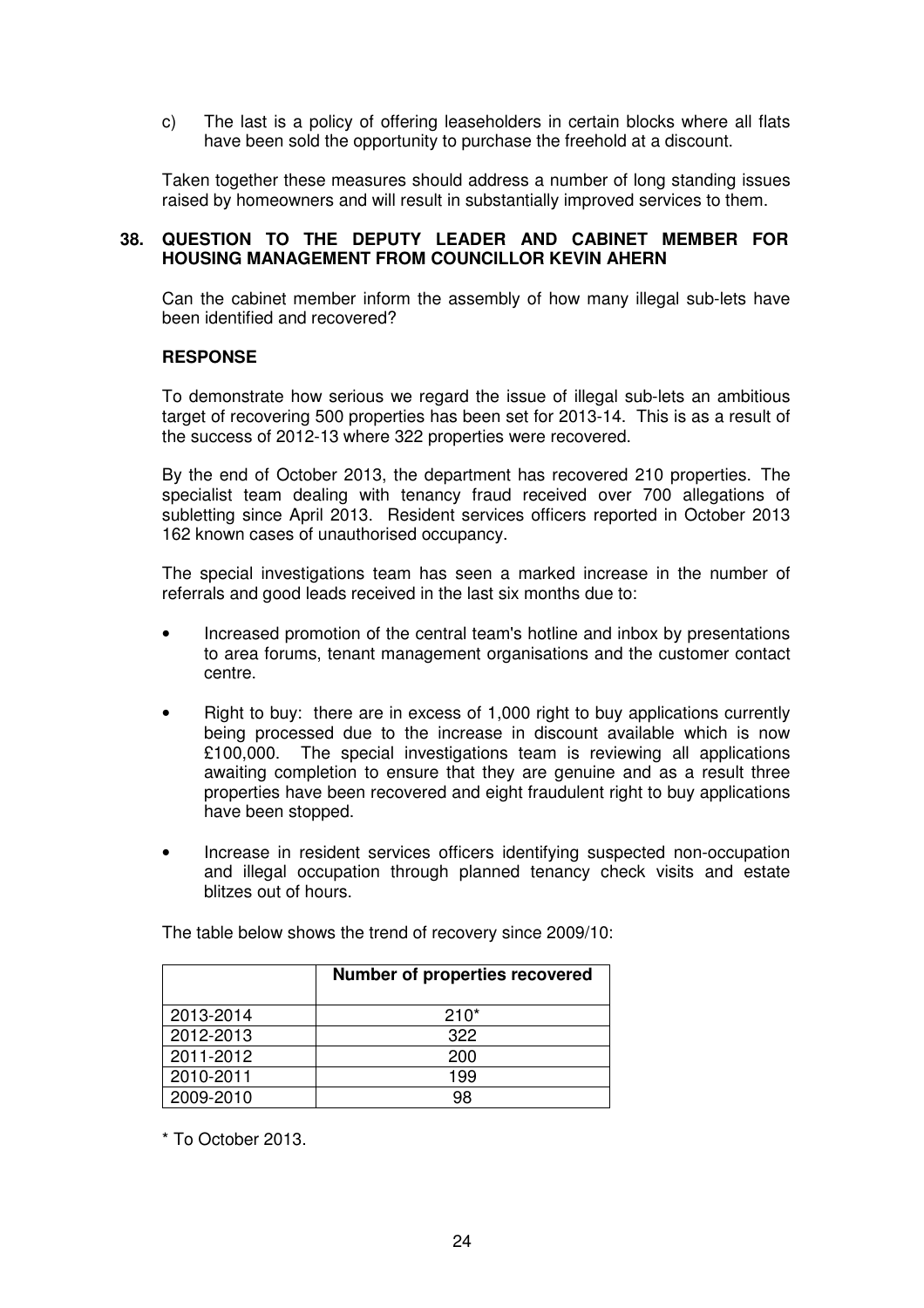c) The last is a policy of offering leaseholders in certain blocks where all flats have been sold the opportunity to purchase the freehold at a discount.

Taken together these measures should address a number of long standing issues raised by homeowners and will result in substantially improved services to them.

### **38. QUESTION TO THE DEPUTY LEADER AND CABINET MEMBER FOR HOUSING MANAGEMENT FROM COUNCILLOR KEVIN AHERN**

Can the cabinet member inform the assembly of how many illegal sub-lets have been identified and recovered?

### **RESPONSE**

To demonstrate how serious we regard the issue of illegal sub-lets an ambitious target of recovering 500 properties has been set for 2013-14. This is as a result of the success of 2012-13 where 322 properties were recovered.

By the end of October 2013, the department has recovered 210 properties. The specialist team dealing with tenancy fraud received over 700 allegations of subletting since April 2013. Resident services officers reported in October 2013 162 known cases of unauthorised occupancy.

The special investigations team has seen a marked increase in the number of referrals and good leads received in the last six months due to:

- Increased promotion of the central team's hotline and inbox by presentations to area forums, tenant management organisations and the customer contact centre.
- Right to buy: there are in excess of 1,000 right to buy applications currently being processed due to the increase in discount available which is now £100,000. The special investigations team is reviewing all applications awaiting completion to ensure that they are genuine and as a result three properties have been recovered and eight fraudulent right to buy applications have been stopped.
- Increase in resident services officers identifying suspected non-occupation and illegal occupation through planned tenancy check visits and estate blitzes out of hours.

|           | <b>Number of properties recovered</b> |
|-----------|---------------------------------------|
| 2013-2014 | $210*$                                |
| 2012-2013 | 322                                   |
| 2011-2012 | 200                                   |
| 2010-2011 | 199                                   |
| 2009-2010 | 98                                    |

The table below shows the trend of recovery since 2009/10:

\* To October 2013.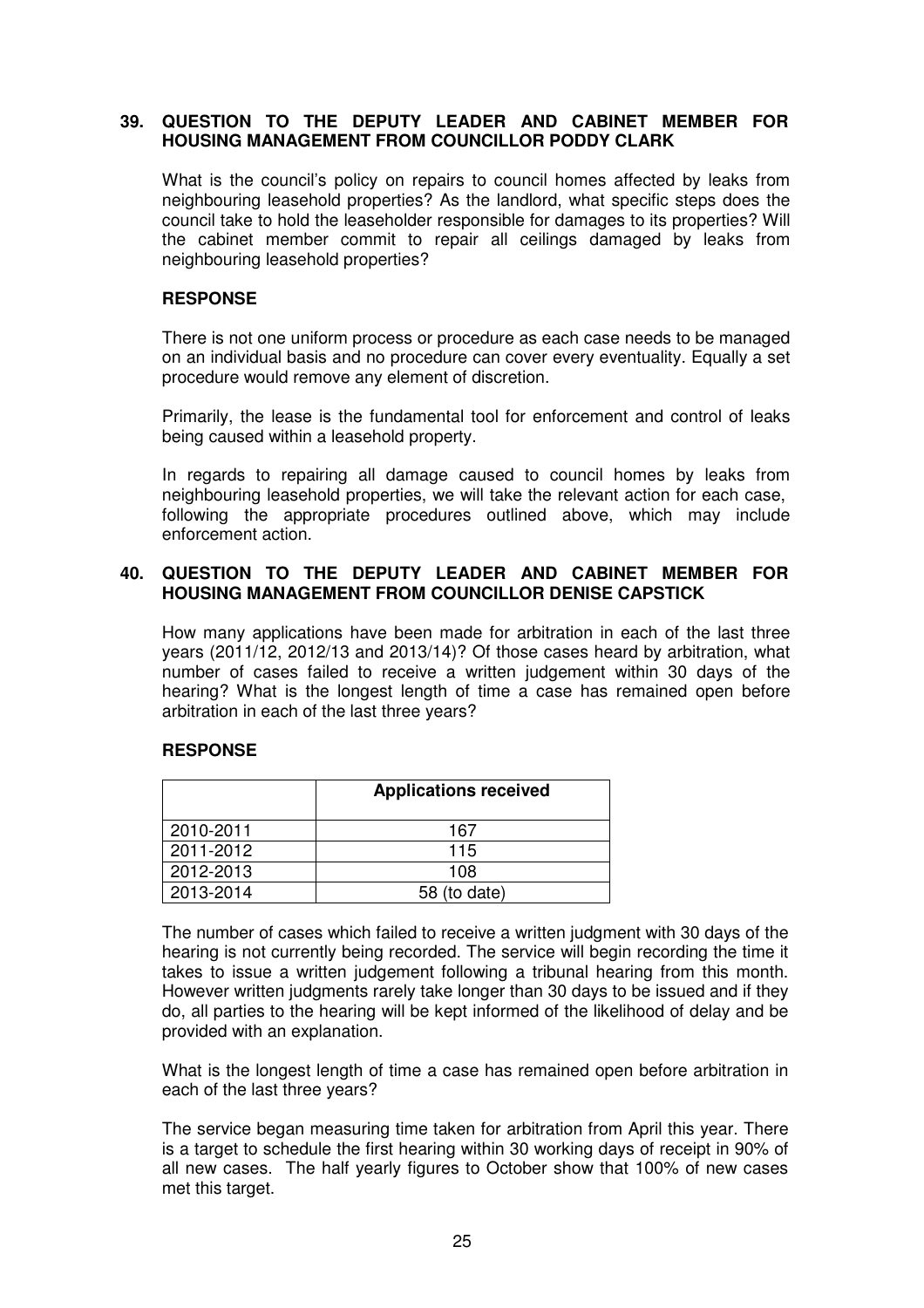### **39. QUESTION TO THE DEPUTY LEADER AND CABINET MEMBER FOR HOUSING MANAGEMENT FROM COUNCILLOR PODDY CLARK**

What is the council's policy on repairs to council homes affected by leaks from neighbouring leasehold properties? As the landlord, what specific steps does the council take to hold the leaseholder responsible for damages to its properties? Will the cabinet member commit to repair all ceilings damaged by leaks from neighbouring leasehold properties?

# **RESPONSE**

There is not one uniform process or procedure as each case needs to be managed on an individual basis and no procedure can cover every eventuality. Equally a set procedure would remove any element of discretion.

Primarily, the lease is the fundamental tool for enforcement and control of leaks being caused within a leasehold property.

In regards to repairing all damage caused to council homes by leaks from neighbouring leasehold properties, we will take the relevant action for each case, following the appropriate procedures outlined above, which may include enforcement action.

# **40. QUESTION TO THE DEPUTY LEADER AND CABINET MEMBER FOR HOUSING MANAGEMENT FROM COUNCILLOR DENISE CAPSTICK**

How many applications have been made for arbitration in each of the last three years (2011/12, 2012/13 and 2013/14)? Of those cases heard by arbitration, what number of cases failed to receive a written judgement within 30 days of the hearing? What is the longest length of time a case has remained open before arbitration in each of the last three years?

### **RESPONSE**

|           | <b>Applications received</b> |  |
|-----------|------------------------------|--|
| 2010-2011 | 167                          |  |
| 2011-2012 | 115                          |  |
| 2012-2013 | 108                          |  |
| 2013-2014 | 58 (to date)                 |  |

The number of cases which failed to receive a written judgment with 30 days of the hearing is not currently being recorded. The service will begin recording the time it takes to issue a written judgement following a tribunal hearing from this month. However written judgments rarely take longer than 30 days to be issued and if they do, all parties to the hearing will be kept informed of the likelihood of delay and be provided with an explanation.

What is the longest length of time a case has remained open before arbitration in each of the last three years?

The service began measuring time taken for arbitration from April this year. There is a target to schedule the first hearing within 30 working days of receipt in 90% of all new cases. The half yearly figures to October show that 100% of new cases met this target.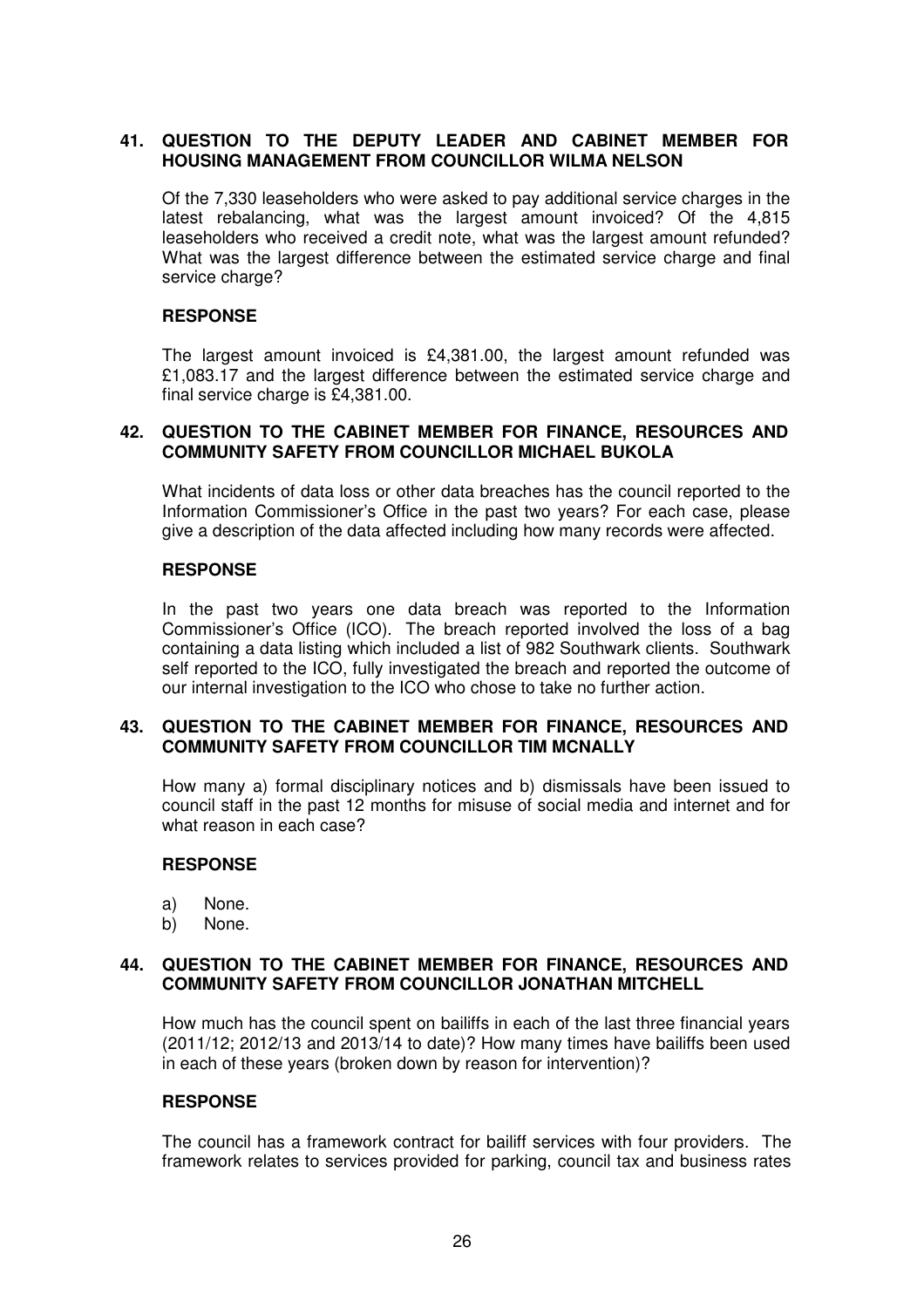# **41. QUESTION TO THE DEPUTY LEADER AND CABINET MEMBER FOR HOUSING MANAGEMENT FROM COUNCILLOR WILMA NELSON**

Of the 7,330 leaseholders who were asked to pay additional service charges in the latest rebalancing, what was the largest amount invoiced? Of the 4,815 leaseholders who received a credit note, what was the largest amount refunded? What was the largest difference between the estimated service charge and final service charge?

### **RESPONSE**

The largest amount invoiced is £4,381.00, the largest amount refunded was £1,083.17 and the largest difference between the estimated service charge and final service charge is £4,381,00.

### **42. QUESTION TO THE CABINET MEMBER FOR FINANCE, RESOURCES AND COMMUNITY SAFETY FROM COUNCILLOR MICHAEL BUKOLA**

What incidents of data loss or other data breaches has the council reported to the Information Commissioner's Office in the past two years? For each case, please give a description of the data affected including how many records were affected.

# **RESPONSE**

In the past two years one data breach was reported to the Information Commissioner's Office (ICO). The breach reported involved the loss of a bag containing a data listing which included a list of 982 Southwark clients. Southwark self reported to the ICO, fully investigated the breach and reported the outcome of our internal investigation to the ICO who chose to take no further action.

### **43. QUESTION TO THE CABINET MEMBER FOR FINANCE, RESOURCES AND COMMUNITY SAFETY FROM COUNCILLOR TIM MCNALLY**

How many a) formal disciplinary notices and b) dismissals have been issued to council staff in the past 12 months for misuse of social media and internet and for what reason in each case?

### **RESPONSE**

- a) None.
- b) None.

#### **44. QUESTION TO THE CABINET MEMBER FOR FINANCE, RESOURCES AND COMMUNITY SAFETY FROM COUNCILLOR JONATHAN MITCHELL**

How much has the council spent on bailiffs in each of the last three financial years (2011/12; 2012/13 and 2013/14 to date)? How many times have bailiffs been used in each of these years (broken down by reason for intervention)?

#### **RESPONSE**

The council has a framework contract for bailiff services with four providers. The framework relates to services provided for parking, council tax and business rates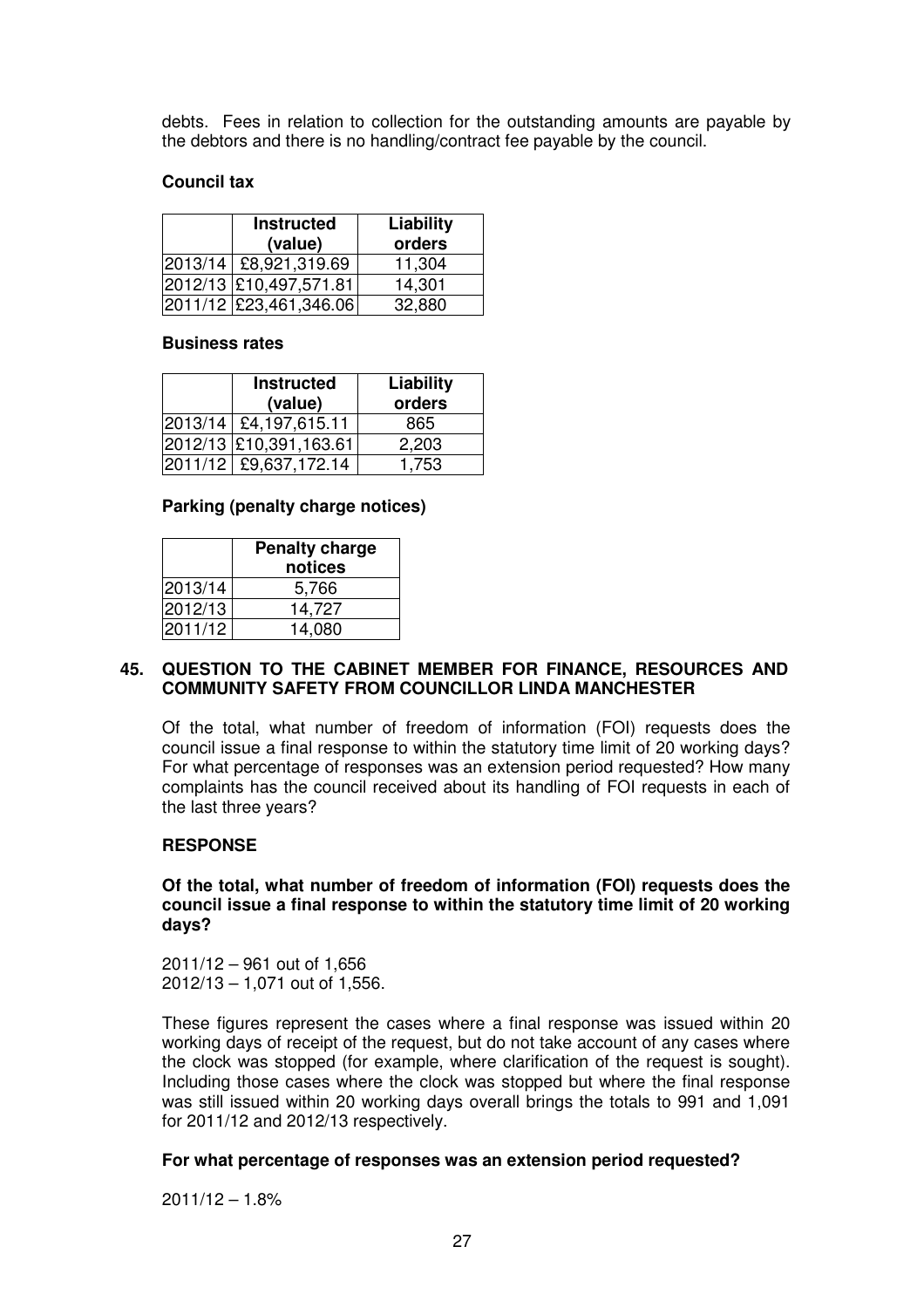debts. Fees in relation to collection for the outstanding amounts are payable by the debtors and there is no handling/contract fee payable by the council.

### **Council tax**

| <b>Instructed</b><br>(value) | Liability<br>orders |
|------------------------------|---------------------|
| 2013/14   £8,921,319.69      | 11,304              |
| 2012/13 £10,497,571.81       | 14,301              |
| 2011/12 £23,461,346.06       | 32,880              |

#### **Business rates**

| <b>Instructed</b><br>(value) | Liability<br>orders |
|------------------------------|---------------------|
| 2013/14 £4,197,615.11        | 865                 |
| 2012/13 £10,391,163.61       | 2,203               |
| 2011/12 £9,637,172.14        | 1,753               |

#### **Parking (penalty charge notices)**

|         | <b>Penalty charge</b><br>notices |
|---------|----------------------------------|
| 2013/14 | 5,766                            |
| 2012/13 | 14,727                           |
| 2011/12 | 14,080                           |

#### **45. QUESTION TO THE CABINET MEMBER FOR FINANCE, RESOURCES AND COMMUNITY SAFETY FROM COUNCILLOR LINDA MANCHESTER**

Of the total, what number of freedom of information (FOI) requests does the council issue a final response to within the statutory time limit of 20 working days? For what percentage of responses was an extension period requested? How many complaints has the council received about its handling of FOI requests in each of the last three years?

### **RESPONSE**

#### **Of the total, what number of freedom of information (FOI) requests does the council issue a final response to within the statutory time limit of 20 working days?**

2011/12 – 961 out of 1,656 2012/13 – 1,071 out of 1,556.

These figures represent the cases where a final response was issued within 20 working days of receipt of the request, but do not take account of any cases where the clock was stopped (for example, where clarification of the request is sought). Including those cases where the clock was stopped but where the final response was still issued within 20 working days overall brings the totals to 991 and 1,091 for 2011/12 and 2012/13 respectively.

### **For what percentage of responses was an extension period requested?**

 $2011/12 - 1.8%$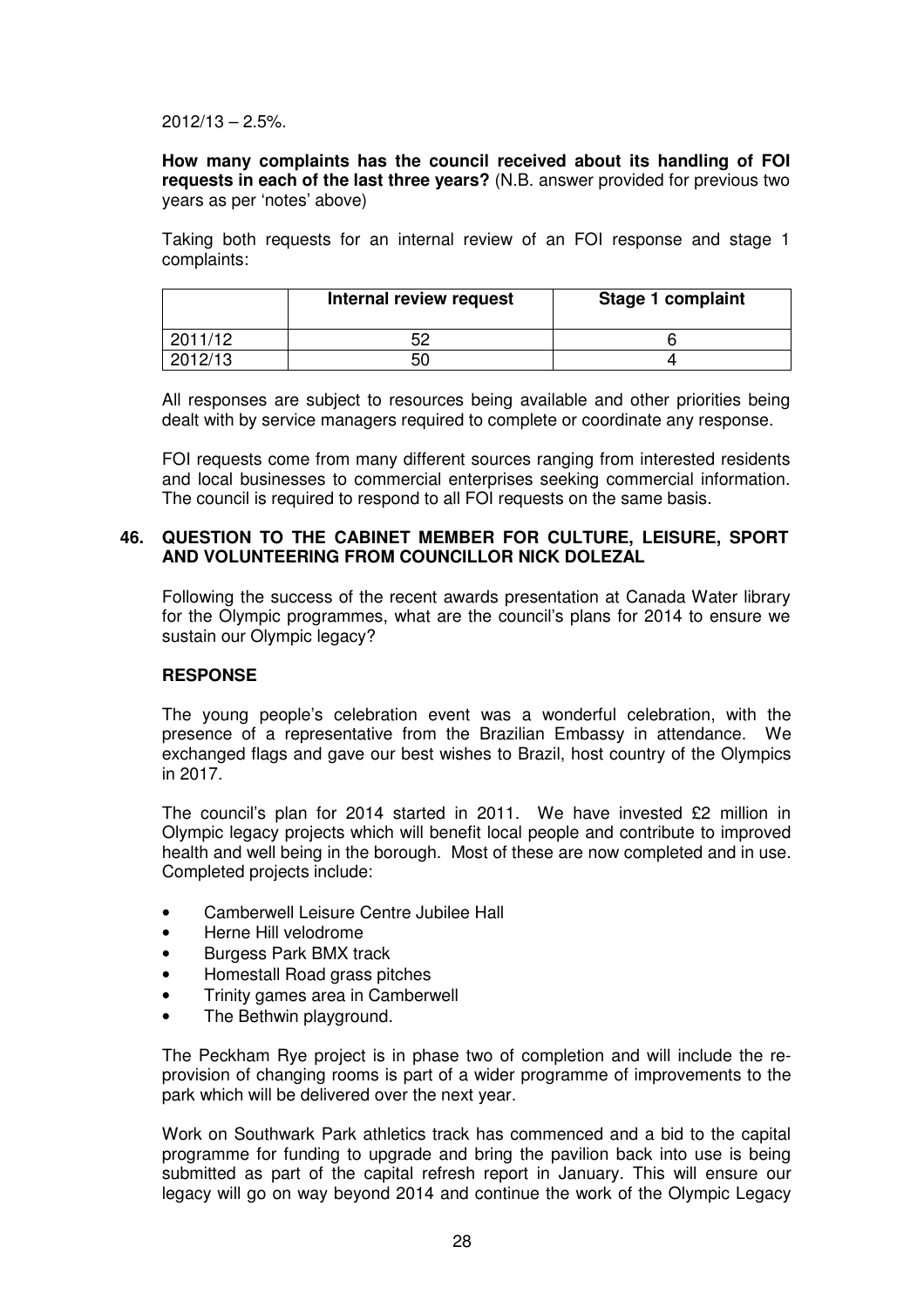$2012/13 - 2.5%$ 

**How many complaints has the council received about its handling of FOI requests in each of the last three years?** (N.B. answer provided for previous two years as per 'notes' above)

Taking both requests for an internal review of an FOI response and stage 1 complaints:

|         | Internal review request | Stage 1 complaint |
|---------|-------------------------|-------------------|
| 2011/12 | 50                      |                   |
| 2012/13 | 50                      |                   |

All responses are subject to resources being available and other priorities being dealt with by service managers required to complete or coordinate any response.

FOI requests come from many different sources ranging from interested residents and local businesses to commercial enterprises seeking commercial information. The council is required to respond to all FOI requests on the same basis.

### **46. QUESTION TO THE CABINET MEMBER FOR CULTURE, LEISURE, SPORT AND VOLUNTEERING FROM COUNCILLOR NICK DOLEZAL**

Following the success of the recent awards presentation at Canada Water library for the Olympic programmes, what are the council's plans for 2014 to ensure we sustain our Olympic legacy?

### **RESPONSE**

The young people's celebration event was a wonderful celebration, with the presence of a representative from the Brazilian Embassy in attendance. We exchanged flags and gave our best wishes to Brazil, host country of the Olympics in 2017.

The council's plan for 2014 started in 2011. We have invested £2 million in Olympic legacy projects which will benefit local people and contribute to improved health and well being in the borough. Most of these are now completed and in use. Completed projects include:

- Camberwell Leisure Centre Jubilee Hall
- Herne Hill velodrome
- Burgess Park BMX track
- Homestall Road grass pitches
- Trinity games area in Camberwell
- The Bethwin playground.

The Peckham Rye project is in phase two of completion and will include the reprovision of changing rooms is part of a wider programme of improvements to the park which will be delivered over the next year.

Work on Southwark Park athletics track has commenced and a bid to the capital programme for funding to upgrade and bring the pavilion back into use is being submitted as part of the capital refresh report in January. This will ensure our legacy will go on way beyond 2014 and continue the work of the Olympic Legacy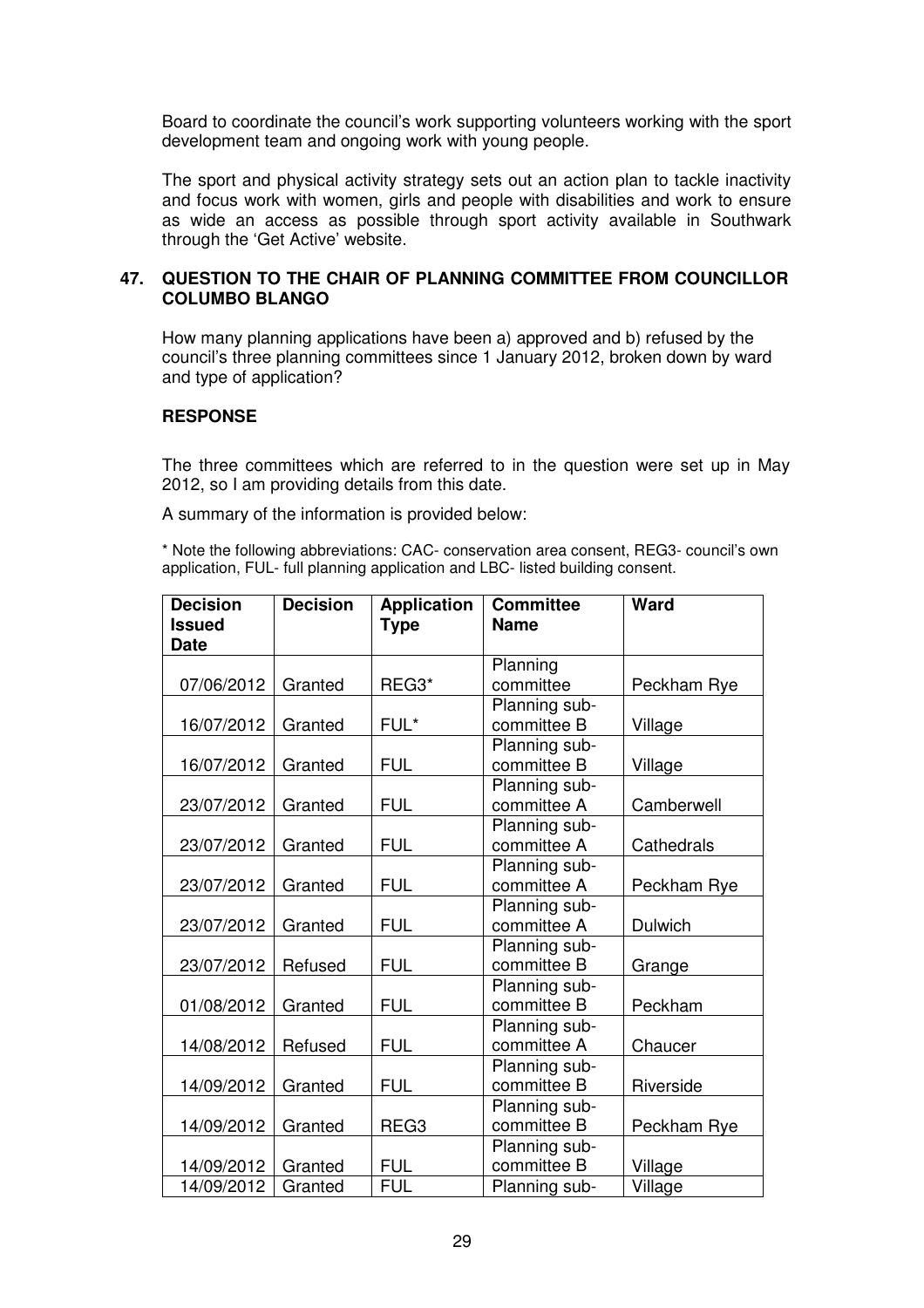Board to coordinate the council's work supporting volunteers working with the sport development team and ongoing work with young people.

The sport and physical activity strategy sets out an action plan to tackle inactivity and focus work with women, girls and people with disabilities and work to ensure as wide an access as possible through sport activity available in Southwark through the 'Get Active' website.

### **47. QUESTION TO THE CHAIR OF PLANNING COMMITTEE FROM COUNCILLOR COLUMBO BLANGO**

How many planning applications have been a) approved and b) refused by the council's three planning committees since 1 January 2012, broken down by ward and type of application?

### **RESPONSE**

The three committees which are referred to in the question were set up in May 2012, so I am providing details from this date.

A summary of the information is provided below:

\* Note the following abbreviations: CAC- conservation area consent, REG3- council's own application, FUL- full planning application and LBC- listed building consent.

| <b>Decision</b><br><b>Issued</b><br><b>Date</b> | <b>Decision</b> | <b>Application</b><br><b>Type</b> | <b>Committee</b><br><b>Name</b> | Ward           |
|-------------------------------------------------|-----------------|-----------------------------------|---------------------------------|----------------|
|                                                 |                 |                                   | Planning                        |                |
| 07/06/2012                                      | Granted         | REG3*                             | committee                       | Peckham Rye    |
|                                                 |                 |                                   | Planning sub-                   |                |
| 16/07/2012                                      | Granted         | FUL*                              | committee B                     | Village        |
|                                                 |                 |                                   | Planning sub-                   |                |
| 16/07/2012                                      | Granted         | <b>FUL</b>                        | committee B                     | Village        |
|                                                 |                 |                                   | Planning sub-                   |                |
| 23/07/2012                                      | Granted         | <b>FUL</b>                        | committee A                     | Camberwell     |
|                                                 |                 |                                   | Planning sub-                   |                |
| 23/07/2012                                      | Granted         | <b>FUL</b>                        | committee A                     | Cathedrals     |
|                                                 |                 |                                   | Planning sub-                   |                |
| 23/07/2012                                      | Granted         | <b>FUL</b>                        | committee A                     | Peckham Rye    |
|                                                 |                 |                                   | Planning sub-                   |                |
| 23/07/2012                                      | Granted         | <b>FUL</b>                        | committee A                     | <b>Dulwich</b> |
|                                                 |                 |                                   | Planning sub-                   |                |
| 23/07/2012                                      | Refused         | <b>FUL</b>                        | committee B                     | Grange         |
|                                                 |                 |                                   | Planning sub-                   |                |
| 01/08/2012                                      | Granted         | <b>FUL</b>                        | committee B                     | Peckham        |
|                                                 |                 |                                   | Planning sub-                   |                |
| 14/08/2012                                      | Refused         | <b>FUL</b>                        | committee A                     | Chaucer        |
|                                                 |                 |                                   | Planning sub-                   |                |
| 14/09/2012                                      | Granted         | <b>FUL</b>                        | committee B                     | Riverside      |
|                                                 |                 |                                   | Planning sub-                   |                |
| 14/09/2012                                      | Granted         | REG <sub>3</sub>                  | committee B                     | Peckham Rye    |
|                                                 |                 |                                   | Planning sub-                   |                |
| 14/09/2012                                      | Granted         | <b>FUL</b>                        | committee B                     | Village        |
| 14/09/2012                                      | Granted         | <b>FUL</b>                        | Planning sub-                   | Village        |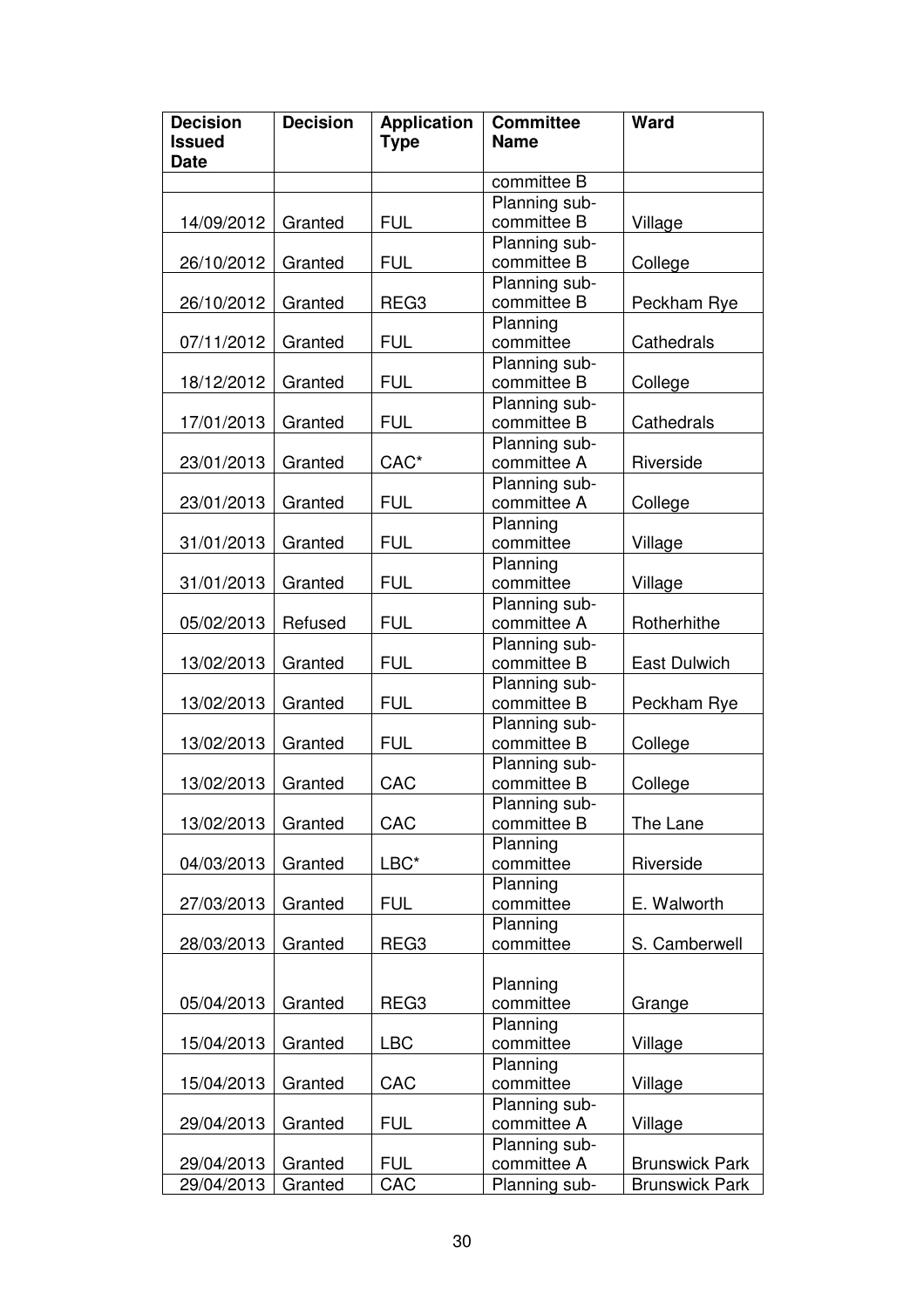| <b>Decision</b> | <b>Application</b><br><b>Type</b> | <b>Committee</b><br><b>Name</b> | Ward                                                                                                                                                                                                                                                                                                                                            |
|-----------------|-----------------------------------|---------------------------------|-------------------------------------------------------------------------------------------------------------------------------------------------------------------------------------------------------------------------------------------------------------------------------------------------------------------------------------------------|
|                 |                                   | committee B                     |                                                                                                                                                                                                                                                                                                                                                 |
| Granted         | <b>FUL</b>                        | Planning sub-<br>committee B    | Village                                                                                                                                                                                                                                                                                                                                         |
| Granted         | <b>FUL</b>                        | committee B                     | College                                                                                                                                                                                                                                                                                                                                         |
| Granted         | REG <sub>3</sub>                  | committee B                     | Peckham Rye                                                                                                                                                                                                                                                                                                                                     |
| Granted         | <b>FUL</b>                        | committee                       | Cathedrals                                                                                                                                                                                                                                                                                                                                      |
| Granted         | <b>FUL</b>                        | committee B                     | College                                                                                                                                                                                                                                                                                                                                         |
| Granted         | <b>FUL</b>                        | committee B                     | Cathedrals                                                                                                                                                                                                                                                                                                                                      |
| Granted         | CAC*                              | committee A                     | Riverside                                                                                                                                                                                                                                                                                                                                       |
| Granted         | <b>FUL</b>                        | committee A                     | College                                                                                                                                                                                                                                                                                                                                         |
| Granted         | <b>FUL</b>                        | committee                       | Village                                                                                                                                                                                                                                                                                                                                         |
| Granted         | <b>FUL</b>                        | committee                       | Village                                                                                                                                                                                                                                                                                                                                         |
| Refused         | <b>FUL</b>                        | committee A                     | Rotherhithe                                                                                                                                                                                                                                                                                                                                     |
| Granted         | <b>FUL</b>                        | committee B                     | East Dulwich                                                                                                                                                                                                                                                                                                                                    |
| Granted         | <b>FUL</b>                        | committee B                     | Peckham Rye                                                                                                                                                                                                                                                                                                                                     |
| Granted         | <b>FUL</b>                        | committee B                     | College                                                                                                                                                                                                                                                                                                                                         |
| Granted         | CAC                               | committee B                     | College                                                                                                                                                                                                                                                                                                                                         |
| Granted         | CAC                               | committee B                     | The Lane                                                                                                                                                                                                                                                                                                                                        |
| Granted         | LBC*                              | committee                       | Riverside                                                                                                                                                                                                                                                                                                                                       |
| Granted         | <b>FUL</b>                        | committee                       | E. Walworth                                                                                                                                                                                                                                                                                                                                     |
| Granted         | REG3                              | committee                       | S. Camberwell                                                                                                                                                                                                                                                                                                                                   |
| Granted         | REG <sub>3</sub>                  | Planning<br>committee           | Grange                                                                                                                                                                                                                                                                                                                                          |
| Granted         | <b>LBC</b>                        | committee                       | Village                                                                                                                                                                                                                                                                                                                                         |
| Granted         | CAC                               | Planning<br>committee           | Village                                                                                                                                                                                                                                                                                                                                         |
| Granted         | <b>FUL</b>                        | committee A                     | Village                                                                                                                                                                                                                                                                                                                                         |
| Granted         | <b>FUL</b>                        | committee A                     | <b>Brunswick Park</b><br><b>Brunswick Park</b>                                                                                                                                                                                                                                                                                                  |
|                 | Granted                           | CAC                             | Planning sub-<br>Planning sub-<br>Planning<br>Planning sub-<br>Planning sub-<br>Planning sub-<br>Planning sub-<br>Planning<br>Planning<br>Planning sub-<br>Planning sub-<br>Planning sub-<br>Planning sub-<br>Planning sub-<br>Planning sub-<br>Planning<br>Planning<br>Planning<br>Planning<br>Planning sub-<br>Planning sub-<br>Planning sub- |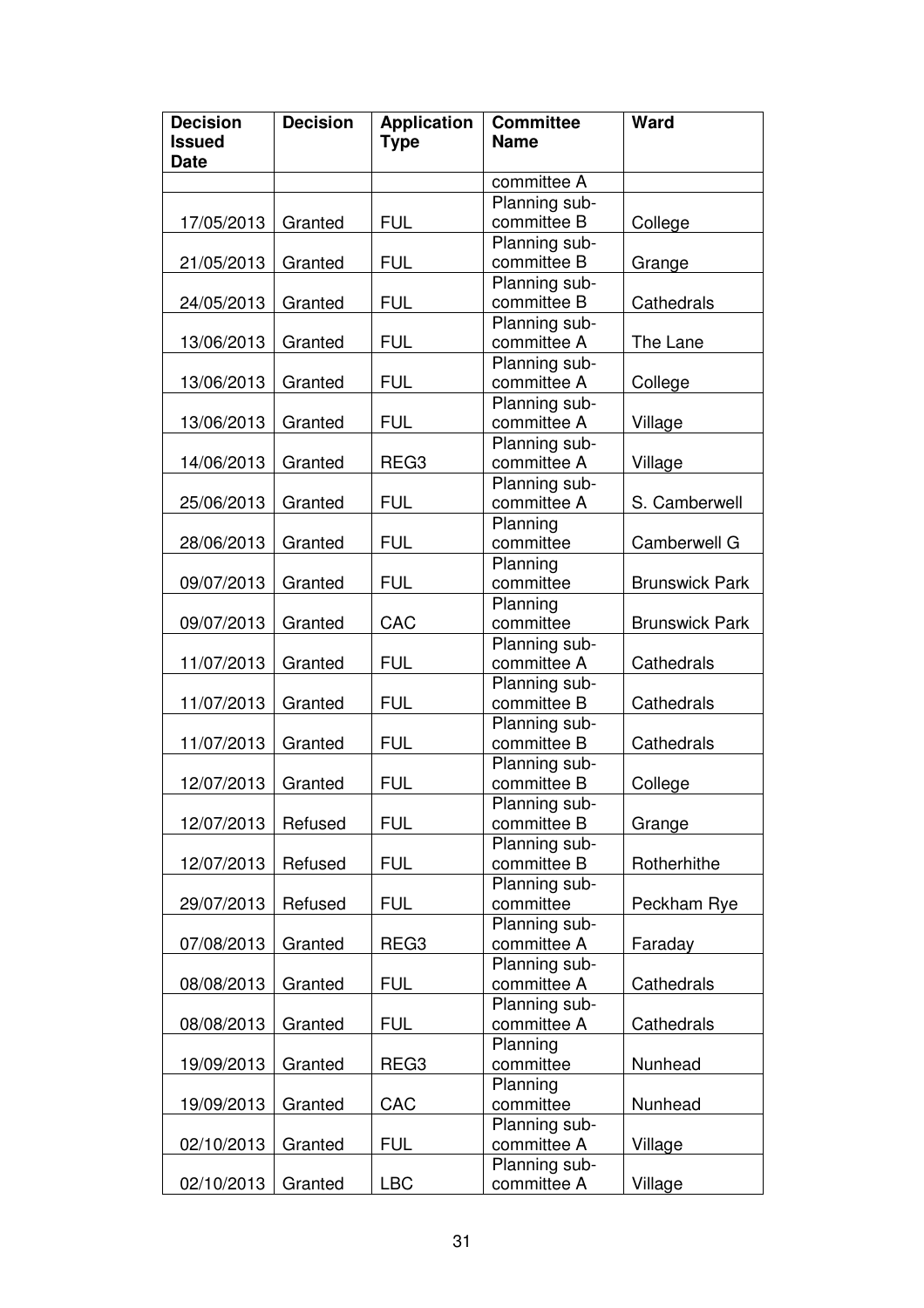| <b>Decision</b><br><b>Issued</b><br><b>Date</b> | <b>Decision</b> | <b>Application</b><br><b>Type</b> | <b>Committee</b><br><b>Name</b> | Ward                  |
|-------------------------------------------------|-----------------|-----------------------------------|---------------------------------|-----------------------|
|                                                 |                 |                                   | committee A                     |                       |
|                                                 |                 |                                   | Planning sub-                   |                       |
| 17/05/2013                                      | Granted         | <b>FUL</b>                        | committee B                     | College               |
|                                                 |                 |                                   | Planning sub-                   |                       |
| 21/05/2013                                      | Granted         | <b>FUL</b>                        | committee B                     | Grange                |
|                                                 |                 |                                   | Planning sub-                   |                       |
| 24/05/2013                                      | Granted         | <b>FUL</b>                        | committee B                     | Cathedrals            |
|                                                 |                 |                                   | Planning sub-                   |                       |
| 13/06/2013                                      | Granted         | <b>FUL</b>                        | committee A                     | The Lane              |
|                                                 |                 |                                   | Planning sub-                   |                       |
| 13/06/2013                                      | Granted         | <b>FUL</b>                        | committee A                     | College               |
|                                                 |                 |                                   | Planning sub-                   |                       |
| 13/06/2013                                      | Granted         | <b>FUL</b>                        | committee A                     | Village               |
|                                                 |                 |                                   | Planning sub-                   |                       |
| 14/06/2013                                      | Granted         | REG <sub>3</sub>                  | committee A                     | Village               |
|                                                 |                 |                                   | Planning sub-                   |                       |
| 25/06/2013                                      | Granted         | <b>FUL</b>                        | committee A                     | S. Camberwell         |
|                                                 |                 |                                   | Planning                        |                       |
| 28/06/2013                                      | Granted         | <b>FUL</b>                        | committee                       | Camberwell G          |
|                                                 |                 |                                   | Planning                        |                       |
| 09/07/2013                                      | Granted         | <b>FUL</b>                        | committee                       | <b>Brunswick Park</b> |
|                                                 |                 |                                   | Planning                        |                       |
| 09/07/2013                                      | Granted         | CAC                               | committee                       | <b>Brunswick Park</b> |
|                                                 |                 |                                   | Planning sub-                   |                       |
| 11/07/2013                                      | Granted         | <b>FUL</b>                        | committee A                     | Cathedrals            |
|                                                 |                 |                                   | Planning sub-                   |                       |
| 11/07/2013                                      | Granted         | <b>FUL</b>                        | committee B                     | Cathedrals            |
|                                                 |                 |                                   | Planning sub-                   |                       |
| 11/07/2013                                      | Granted         | <b>FUL</b>                        | committee B                     | Cathedrals            |
|                                                 |                 |                                   | Planning sub-                   |                       |
| 12/07/2013                                      | Granted         | <b>FUL</b>                        | committee B                     | College               |
|                                                 |                 |                                   | Planning sub-                   |                       |
| 12/07/2013                                      | Refused         | <b>FUL</b>                        | committee B                     | Grange                |
|                                                 |                 |                                   | Planning sub-                   |                       |
| 12/07/2013                                      | Refused         | <b>FUL</b>                        | committee B                     | Rotherhithe           |
|                                                 |                 | <b>FUL</b>                        | Planning sub-                   |                       |
| 29/07/2013                                      | Refused         |                                   | committee                       | Peckham Rye           |
|                                                 |                 |                                   | Planning sub-<br>committee A    |                       |
| 07/08/2013                                      | Granted         | REG <sub>3</sub>                  | Planning sub-                   | Faraday               |
| 08/08/2013                                      | Granted         | <b>FUL</b>                        | committee A                     | Cathedrals            |
|                                                 |                 |                                   | Planning sub-                   |                       |
| 08/08/2013                                      |                 | <b>FUL</b>                        | committee A                     | Cathedrals            |
|                                                 | Granted         |                                   | Planning                        |                       |
| 19/09/2013                                      | Granted         | REG <sub>3</sub>                  | committee                       | Nunhead               |
|                                                 |                 |                                   | Planning                        |                       |
| 19/09/2013                                      | Granted         | CAC                               | committee                       | Nunhead               |
|                                                 |                 |                                   | Planning sub-                   |                       |
| 02/10/2013                                      | Granted         | <b>FUL</b>                        | committee A                     | Village               |
|                                                 |                 |                                   | Planning sub-                   |                       |
| 02/10/2013                                      | Granted         | <b>LBC</b>                        | committee A                     | Village               |